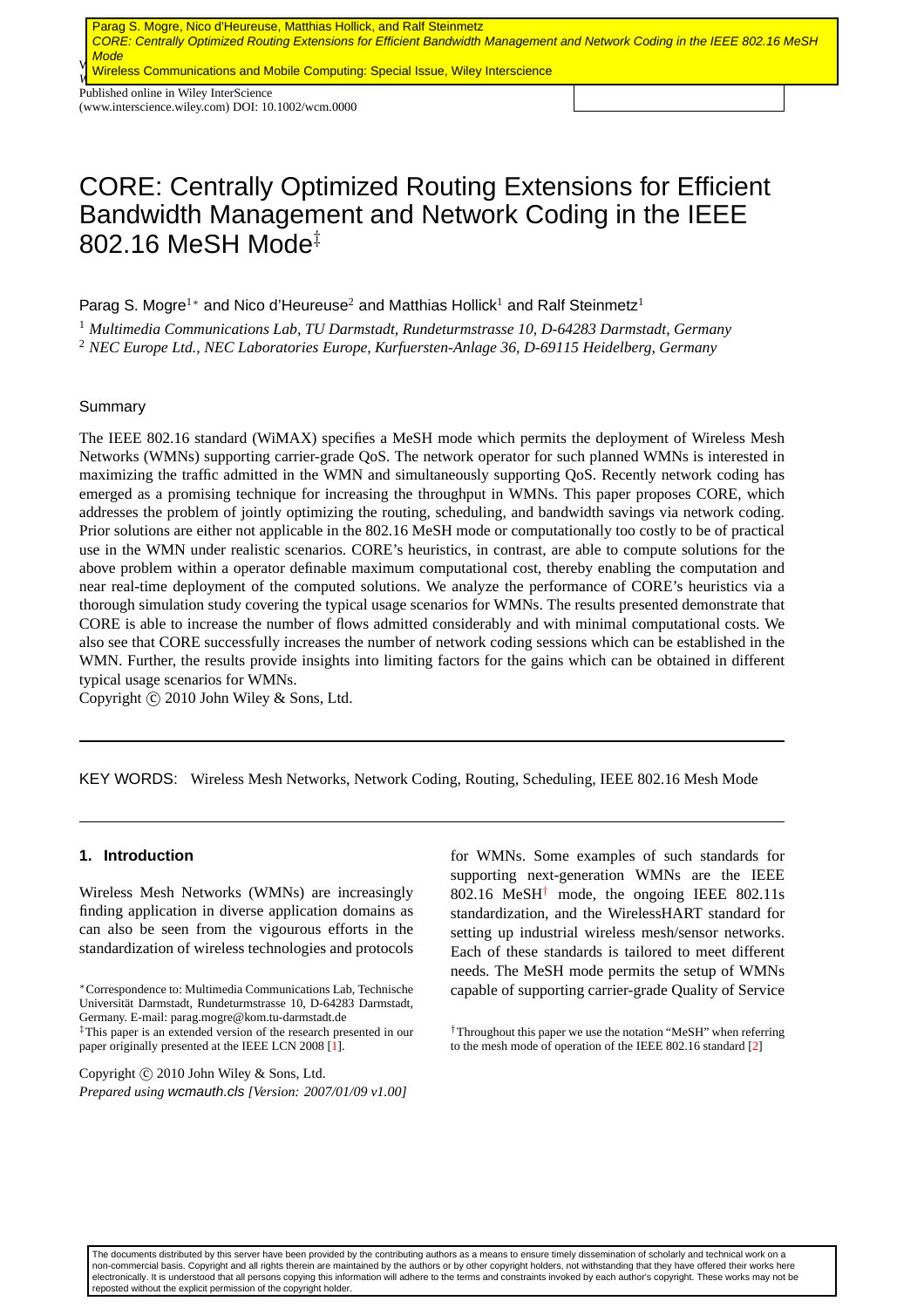$\sqrt[3]{}$  Wireless Communications and Mobile Computing: Special Issue, Wiley Interscience

Published online in Wiley InterScience (www.interscience.wiley.com) DOI: 10.1002/wcm.0000

# CORE: Centrally Optimized Routing Extensions for Efficient Bandwidth Management and Network Coding in the IEEE 802.16 MeSH Mode‡

Parag S. Mogre<sup>1</sup><sup>\*</sup> and Nico d'Heureuse<sup>2</sup> and Matthias Hollick<sup>1</sup> and Ralf Steinmetz<sup>1</sup>

<sup>1</sup> *Multimedia Communications Lab, TU Darmstadt, Rundeturmstrasse 10, D-64283 Darmstadt, Germany* <sup>2</sup> *NEC Europe Ltd., NEC Laboratories Europe, Kurfuersten-Anlage 36, D-69115 Heidelberg, Germany*

# Summary

The IEEE 802.16 standard (WiMAX) specifies a MeSH mode which permits the deployment of Wireless Mesh Networks (WMNs) supporting carrier-grade QoS. The network operator for such planned WMNs is interested in maximizing the traffic admitted in the WMN and simultaneously supporting QoS. Recently network coding has emerged as a promising technique for increasing the throughput in WMNs. This paper proposes CORE, which addresses the problem of jointly optimizing the routing, scheduling, and bandwidth savings via network coding. Prior solutions are either not applicable in the 802.16 MeSH mode or computationally too costly to be of practical use in the WMN under realistic scenarios. CORE's heuristics, in contrast, are able to compute solutions for the above problem within a operator definable maximum computational cost, thereby enabling the computation and near real-time deployment of the computed solutions. We analyze the performance of CORE's heuristics via a thorough simulation study covering the typical usage scenarios for WMNs. The results presented demonstrate that CORE is able to increase the number of flows admitted considerably and with minimal computational costs. We also see that CORE successfully increases the number of network coding sessions which can be established in the WMN. Further, the results provide insights into limiting factors for the gains which can be obtained in different typical usage scenarios for WMNs.

Copyright  $\odot$  2010 John Wiley & Sons, Ltd.

KEY WORDS: Wireless Mesh Networks, Network Coding, Routing, Scheduling, IEEE 802.16 Mesh Mode

# **1. Introduction**

Wireless Mesh Networks (WMNs) are increasingly finding application in diverse application domains as can also be seen from the vigourous efforts in the standardization of wireless technologies and protocols

<sup>∗</sup>Correspondence to: Multimedia Communications Lab, Technische Universitat Darmstadt, Rundeturmstrasse 10, D-64283 Darmstadt, ¨ Germany. E-mail: parag.mogre@kom.tu-darmstadt.de

‡This paper is an extended version of the research presented in our paper originally presented at the IEEE LCN 2008 [1].

Copyright  $\odot$  2010 John Wiley & Sons, Ltd. *Prepared using* wcmauth.cls *[Version: 2007/01/09 v1.00]* for WMNs. Some examples of such standards for supporting next-generation WMNs are the IEEE 802.16 MeSH† mode, the ongoing IEEE 802.11s standardization, and the WirelessHART standard for setting up industrial wireless mesh/sensor networks. Each of these standards is tailored to meet different needs. The MeSH mode permits the setup of WMNs capable of supporting carrier-grade Quality of Service

The documents distributed by this server have been provided by the contributing authors as a means to ensure timely dissemination of scholarly and technical work on a non-commercial basis. Copyright and all rights therein are maintained by the authors or by other copyright holders, not withstanding that they have offered their works here electronically. It is understood that all persons copying this information will adhere to the terms and constraints invoked by each author's copyright. These works may not be reposted without the explicit permission of the copyright holder.

<sup>†</sup>Throughout this paper we use the notation "MeSH" when referring to the mesh mode of operation of the IEEE 802.16 standard [2]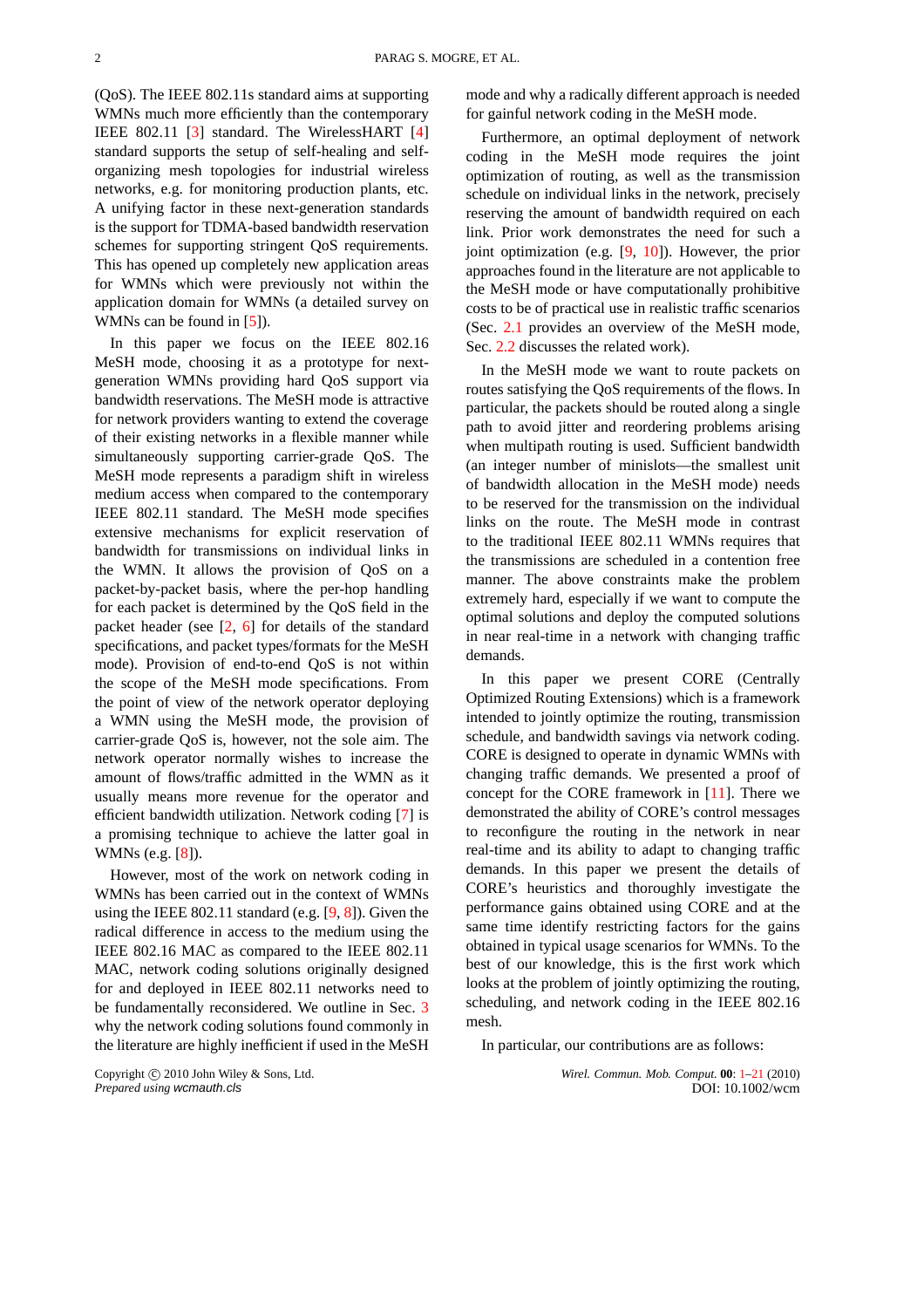(QoS). The IEEE 802.11s standard aims at supporting WMNs much more efficiently than the contemporary IEEE 802.11 [3] standard. The WirelessHART [4] standard supports the setup of self-healing and selforganizing mesh topologies for industrial wireless networks, e.g. for monitoring production plants, etc. A unifying factor in these next-generation standards is the support for TDMA-based bandwidth reservation schemes for supporting stringent QoS requirements. This has opened up completely new application areas for WMNs which were previously not within the application domain for WMNs (a detailed survey on WMNs can be found in [5]).

In this paper we focus on the IEEE 802.16 MeSH mode, choosing it as a prototype for nextgeneration WMNs providing hard QoS support via bandwidth reservations. The MeSH mode is attractive for network providers wanting to extend the coverage of their existing networks in a flexible manner while simultaneously supporting carrier-grade QoS. The MeSH mode represents a paradigm shift in wireless medium access when compared to the contemporary IEEE 802.11 standard. The MeSH mode specifies extensive mechanisms for explicit reservation of bandwidth for transmissions on individual links in the WMN. It allows the provision of QoS on a packet-by-packet basis, where the per-hop handling for each packet is determined by the QoS field in the packet header (see [2, 6] for details of the standard specifications, and packet types/formats for the MeSH mode). Provision of end-to-end QoS is not within the scope of the MeSH mode specifications. From the point of view of the network operator deploying a WMN using the MeSH mode, the provision of carrier-grade QoS is, however, not the sole aim. The network operator normally wishes to increase the amount of flows/traffic admitted in the WMN as it usually means more revenue for the operator and efficient bandwidth utilization. Network coding [7] is a promising technique to achieve the latter goal in WMNs (e.g. [8]).

However, most of the work on network coding in WMNs has been carried out in the context of WMNs using the IEEE 802.11 standard (e.g. [9, 8]). Given the radical difference in access to the medium using the IEEE 802.16 MAC as compared to the IEEE 802.11 MAC, network coding solutions originally designed for and deployed in IEEE 802.11 networks need to be fundamentally reconsidered. We outline in Sec. 3 why the network coding solutions found commonly in the literature are highly inefficient if used in the MeSH mode and why a radically different approach is needed for gainful network coding in the MeSH mode.

Furthermore, an optimal deployment of network coding in the MeSH mode requires the joint optimization of routing, as well as the transmission schedule on individual links in the network, precisely reserving the amount of bandwidth required on each link. Prior work demonstrates the need for such a joint optimization (e.g. [9, 10]). However, the prior approaches found in the literature are not applicable to the MeSH mode or have computationally prohibitive costs to be of practical use in realistic traffic scenarios (Sec. 2.1 provides an overview of the MeSH mode, Sec. 2.2 discusses the related work).

In the MeSH mode we want to route packets on routes satisfying the QoS requirements of the flows. In particular, the packets should be routed along a single path to avoid jitter and reordering problems arising when multipath routing is used. Sufficient bandwidth (an integer number of minislots—the smallest unit of bandwidth allocation in the MeSH mode) needs to be reserved for the transmission on the individual links on the route. The MeSH mode in contrast to the traditional IEEE 802.11 WMNs requires that the transmissions are scheduled in a contention free manner. The above constraints make the problem extremely hard, especially if we want to compute the optimal solutions and deploy the computed solutions in near real-time in a network with changing traffic demands.

In this paper we present CORE (Centrally Optimized Routing Extensions) which is a framework intended to jointly optimize the routing, transmission schedule, and bandwidth savings via network coding. CORE is designed to operate in dynamic WMNs with changing traffic demands. We presented a proof of concept for the CORE framework in [11]. There we demonstrated the ability of CORE's control messages to reconfigure the routing in the network in near real-time and its ability to adapt to changing traffic demands. In this paper we present the details of CORE's heuristics and thoroughly investigate the performance gains obtained using CORE and at the same time identify restricting factors for the gains obtained in typical usage scenarios for WMNs. To the best of our knowledge, this is the first work which looks at the problem of jointly optimizing the routing, scheduling, and network coding in the IEEE 802.16 mesh.

In particular, our contributions are as follows:

Copyright  $\odot$  2010 John Wiley & Sons, Ltd. *Prepared using* wcmauth.cls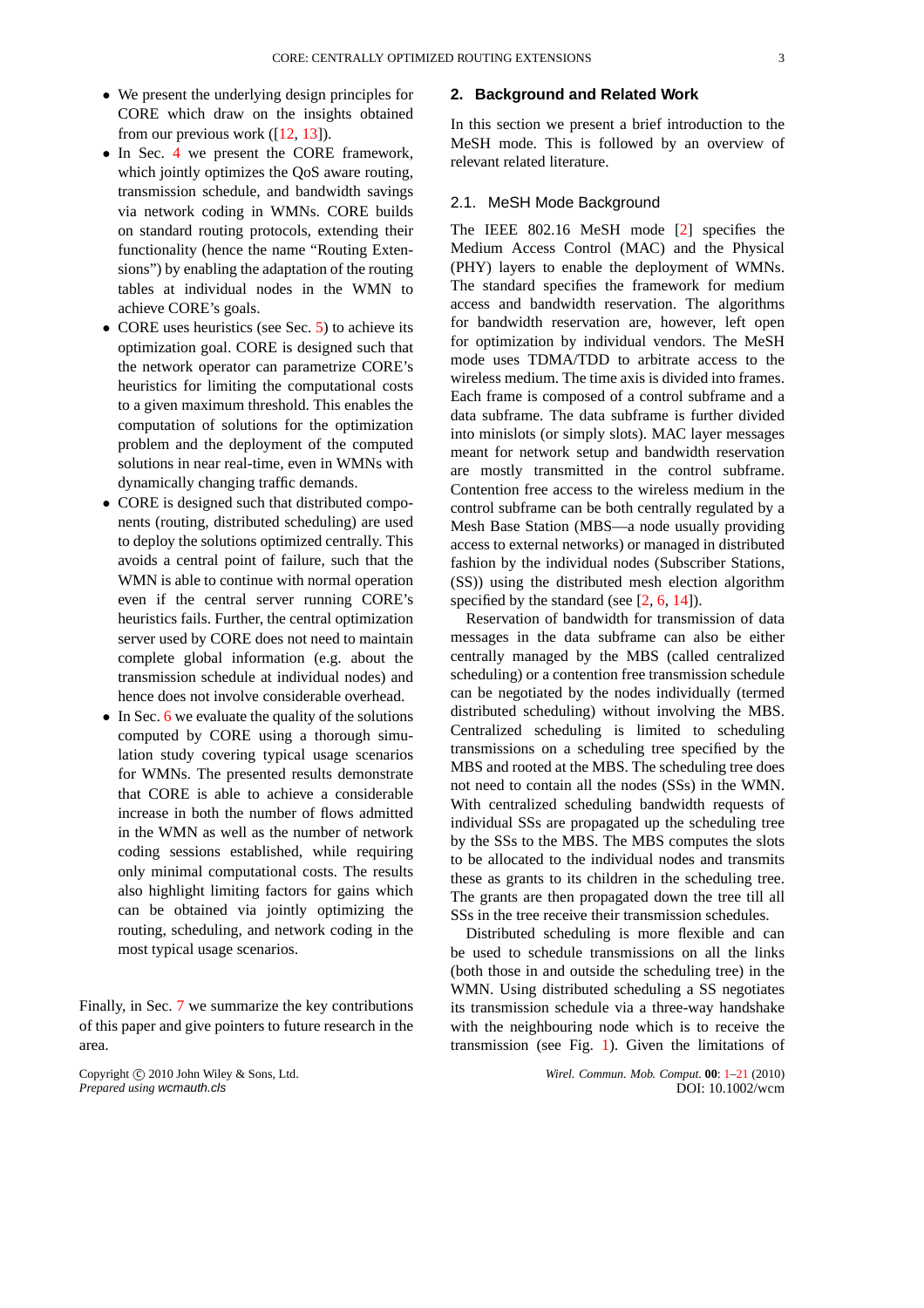- We present the underlying design principles for CORE which draw on the insights obtained from our previous work ([12, 13]).
- In Sec. 4 we present the CORE framework, which jointly optimizes the QoS aware routing, transmission schedule, and bandwidth savings via network coding in WMNs. CORE builds on standard routing protocols, extending their functionality (hence the name "Routing Extensions") by enabling the adaptation of the routing tables at individual nodes in the WMN to achieve CORE's goals.
- CORE uses heuristics (see Sec. 5) to achieve its optimization goal. CORE is designed such that the network operator can parametrize CORE's heuristics for limiting the computational costs to a given maximum threshold. This enables the computation of solutions for the optimization problem and the deployment of the computed solutions in near real-time, even in WMNs with dynamically changing traffic demands.
- CORE is designed such that distributed components (routing, distributed scheduling) are used to deploy the solutions optimized centrally. This avoids a central point of failure, such that the WMN is able to continue with normal operation even if the central server running CORE's heuristics fails. Further, the central optimization server used by CORE does not need to maintain complete global information (e.g. about the transmission schedule at individual nodes) and hence does not involve considerable overhead.
- In Sec. 6 we evaluate the quality of the solutions computed by CORE using a thorough simulation study covering typical usage scenarios for WMNs. The presented results demonstrate that CORE is able to achieve a considerable increase in both the number of flows admitted in the WMN as well as the number of network coding sessions established, while requiring only minimal computational costs. The results also highlight limiting factors for gains which can be obtained via jointly optimizing the routing, scheduling, and network coding in the most typical usage scenarios.

Finally, in Sec. 7 we summarize the key contributions of this paper and give pointers to future research in the area.

## **2. Background and Related Work**

In this section we present a brief introduction to the MeSH mode. This is followed by an overview of relevant related literature.

# 2.1. MeSH Mode Background

The IEEE 802.16 MeSH mode [2] specifies the Medium Access Control (MAC) and the Physical (PHY) layers to enable the deployment of WMNs. The standard specifies the framework for medium access and bandwidth reservation. The algorithms for bandwidth reservation are, however, left open for optimization by individual vendors. The MeSH mode uses TDMA/TDD to arbitrate access to the wireless medium. The time axis is divided into frames. Each frame is composed of a control subframe and a data subframe. The data subframe is further divided into minislots (or simply slots). MAC layer messages meant for network setup and bandwidth reservation are mostly transmitted in the control subframe. Contention free access to the wireless medium in the control subframe can be both centrally regulated by a Mesh Base Station (MBS—a node usually providing access to external networks) or managed in distributed fashion by the individual nodes (Subscriber Stations, (SS)) using the distributed mesh election algorithm specified by the standard (see [2, 6, 14]).

Reservation of bandwidth for transmission of data messages in the data subframe can also be either centrally managed by the MBS (called centralized scheduling) or a contention free transmission schedule can be negotiated by the nodes individually (termed distributed scheduling) without involving the MBS. Centralized scheduling is limited to scheduling transmissions on a scheduling tree specified by the MBS and rooted at the MBS. The scheduling tree does not need to contain all the nodes (SSs) in the WMN. With centralized scheduling bandwidth requests of individual SSs are propagated up the scheduling tree by the SSs to the MBS. The MBS computes the slots to be allocated to the individual nodes and transmits these as grants to its children in the scheduling tree. The grants are then propagated down the tree till all SSs in the tree receive their transmission schedules.

Distributed scheduling is more flexible and can be used to schedule transmissions on all the links (both those in and outside the scheduling tree) in the WMN. Using distributed scheduling a SS negotiates its transmission schedule via a three-way handshake with the neighbouring node which is to receive the transmission (see Fig. 1). Given the limitations of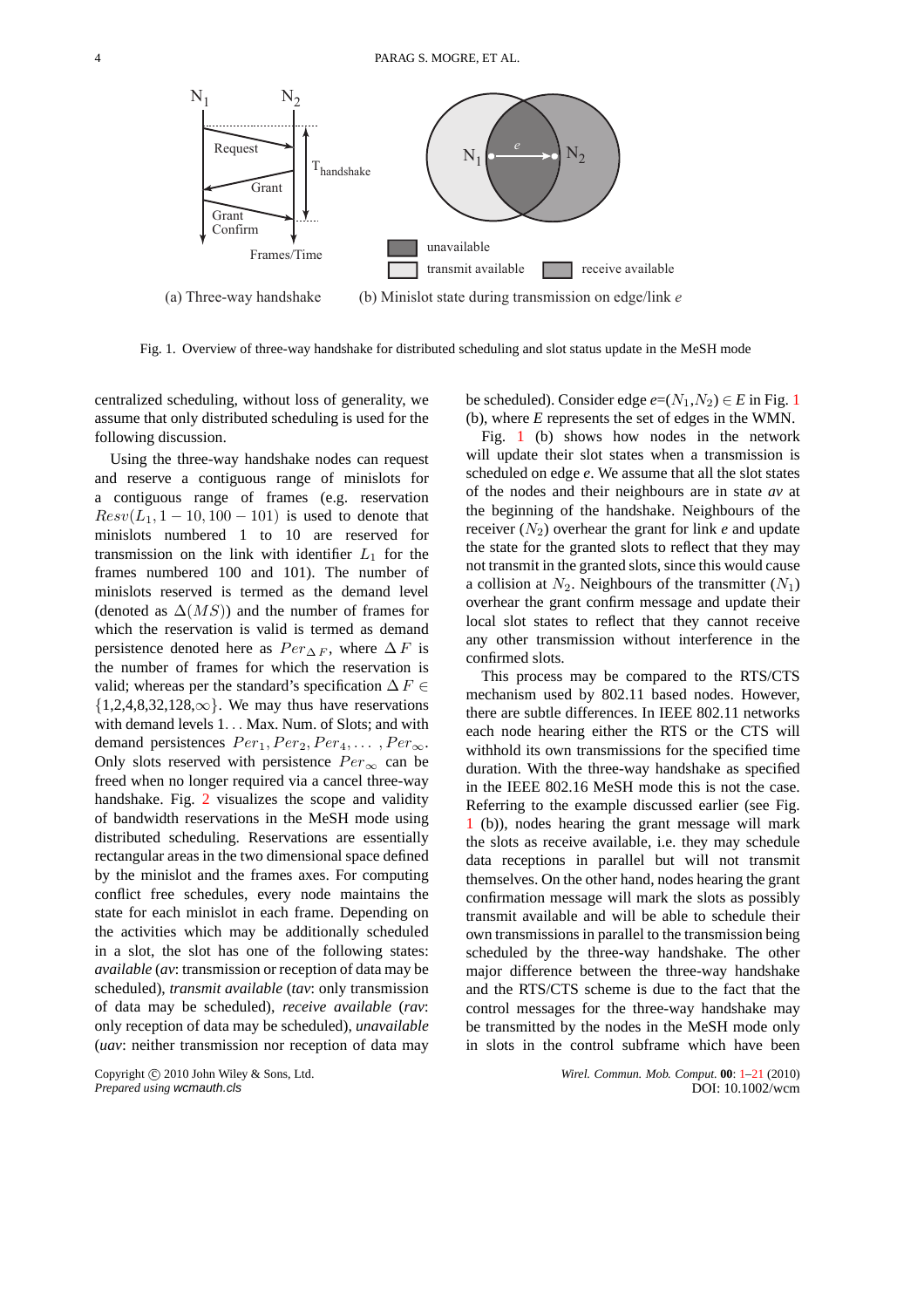

Fig. 1. Overview of three-way handshake for distributed scheduling and slot status update in the MeSH mode

centralized scheduling, without loss of generality, we assume that only distributed scheduling is used for the following discussion.

Using the three-way handshake nodes can request and reserve a contiguous range of minislots for a contiguous range of frames (e.g. reservation  $Resv(L_1, 1 - 10, 100 - 101)$  is used to denote that minislots numbered 1 to 10 are reserved for transmission on the link with identifier  $L_1$  for the frames numbered 100 and 101). The number of minislots reserved is termed as the demand level (denoted as  $\Delta(MS)$ ) and the number of frames for which the reservation is valid is termed as demand persistence denoted here as  $Per_{\Delta F}$ , where  $\Delta F$  is the number of frames for which the reservation is valid; whereas per the standard's specification  $\Delta F \in$  $\{1,2,4,8,32,128,\infty\}$ . We may thus have reservations with demand levels 1... Max. Num. of Slots; and with demand persistences  $Per_1, Per_2, Per_4, \ldots, Per_{\infty}$ . Only slots reserved with persistence  $Per_{\infty}$  can be freed when no longer required via a cancel three-way handshake. Fig. 2 visualizes the scope and validity of bandwidth reservations in the MeSH mode using distributed scheduling. Reservations are essentially rectangular areas in the two dimensional space defined by the minislot and the frames axes. For computing conflict free schedules, every node maintains the state for each minislot in each frame. Depending on the activities which may be additionally scheduled in a slot, the slot has one of the following states: *available* (*av*: transmission or reception of data may be scheduled), *transmit available* (*tav*: only transmission of data may be scheduled), *receive available* (*rav*: only reception of data may be scheduled), *unavailable* (*uav*: neither transmission nor reception of data may

be scheduled). Consider edge  $e=(N_1,N_2) \in E$  in Fig. 1 (b), where *E* represents the set of edges in the WMN.

Fig. 1 (b) shows how nodes in the network will update their slot states when a transmission is scheduled on edge *e*. We assume that all the slot states of the nodes and their neighbours are in state *av* at the beginning of the handshake. Neighbours of the receiver  $(N_2)$  overhear the grant for link  $e$  and update the state for the granted slots to reflect that they may not transmit in the granted slots, since this would cause a collision at  $N_2$ . Neighbours of the transmitter  $(N_1)$ overhear the grant confirm message and update their local slot states to reflect that they cannot receive any other transmission without interference in the confirmed slots.

This process may be compared to the RTS/CTS mechanism used by 802.11 based nodes. However, there are subtle differences. In IEEE 802.11 networks each node hearing either the RTS or the CTS will withhold its own transmissions for the specified time duration. With the three-way handshake as specified in the IEEE 802.16 MeSH mode this is not the case. Referring to the example discussed earlier (see Fig. 1 (b)), nodes hearing the grant message will mark the slots as receive available, i.e. they may schedule data receptions in parallel but will not transmit themselves. On the other hand, nodes hearing the grant confirmation message will mark the slots as possibly transmit available and will be able to schedule their own transmissions in parallel to the transmission being scheduled by the three-way handshake. The other major difference between the three-way handshake and the RTS/CTS scheme is due to the fact that the control messages for the three-way handshake may be transmitted by the nodes in the MeSH mode only in slots in the control subframe which have been

Copyright  $\odot$  2010 John Wiley & Sons, Ltd. *Prepared using* wcmauth.cls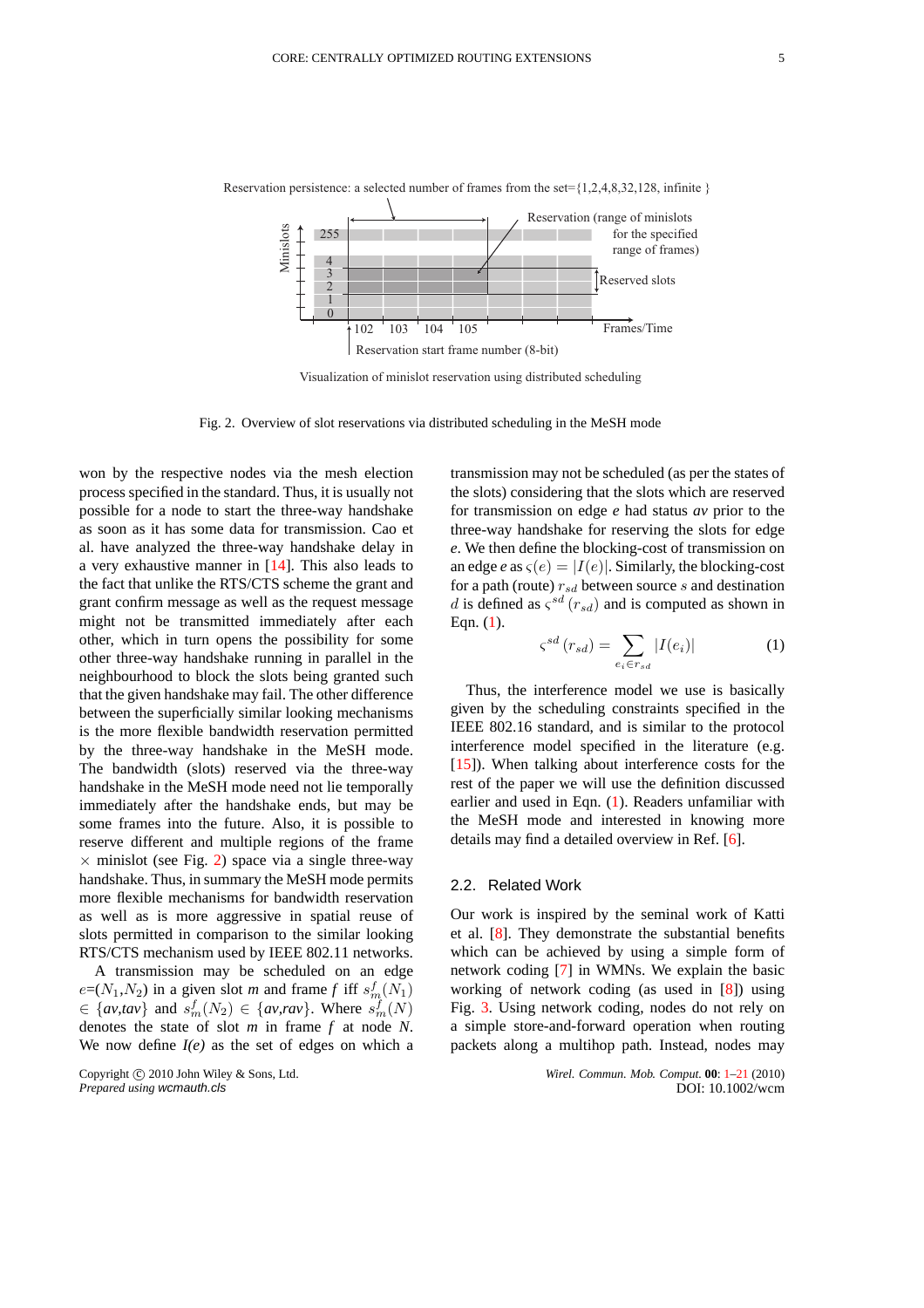

Reservation persistence: a selected number of frames from the set= $\{1,2,4,8,32,128, \text{ infinite }\}$ 

Visualization of minislot reservation using distributed scheduling

Fig. 2. Overview of slot reservations via distributed scheduling in the MeSH mode

won by the respective nodes via the mesh election process specified in the standard. Thus, it is usually not possible for a node to start the three-way handshake as soon as it has some data for transmission. Cao et al. have analyzed the three-way handshake delay in a very exhaustive manner in [14]. This also leads to the fact that unlike the RTS/CTS scheme the grant and grant confirm message as well as the request message might not be transmitted immediately after each other, which in turn opens the possibility for some other three-way handshake running in parallel in the neighbourhood to block the slots being granted such that the given handshake may fail. The other difference between the superficially similar looking mechanisms is the more flexible bandwidth reservation permitted by the three-way handshake in the MeSH mode. The bandwidth (slots) reserved via the three-way handshake in the MeSH mode need not lie temporally immediately after the handshake ends, but may be some frames into the future. Also, it is possible to reserve different and multiple regions of the frame  $\times$  minislot (see Fig. 2) space via a single three-way handshake. Thus, in summary the MeSH mode permits more flexible mechanisms for bandwidth reservation as well as is more aggressive in spatial reuse of slots permitted in comparison to the similar looking RTS/CTS mechanism used by IEEE 802.11 networks.

A transmission may be scheduled on an edge  $e=(N_1,N_2)$  in a given slot *m* and frame *f* iff  $s_m^f(N_1)$  $\in \{av, tav\}$  and  $s_m^f(N_2) \in \{av, rav\}$ . Where  $s_m^f(N)$ denotes the state of slot *m* in frame *f* at node *N*. We now define *I(e)* as the set of edges on which a transmission may not be scheduled (as per the states of the slots) considering that the slots which are reserved for transmission on edge *e* had status *av* prior to the three-way handshake for reserving the slots for edge *e*. We then define the blocking-cost of transmission on an edge *e* as  $\varsigma(e) = |I(e)|$ . Similarly, the blocking-cost for a path (route)  $r_{sd}$  between source s and destination d is defined as  $\zeta^{sd}$  ( $r_{sd}$ ) and is computed as shown in Eqn. (1).

$$
\zeta^{sd}(r_{sd}) = \sum_{e_i \in r_{sd}} |I(e_i)| \tag{1}
$$

Thus, the interference model we use is basically given by the scheduling constraints specified in the IEEE 802.16 standard, and is similar to the protocol interference model specified in the literature (e.g. [15]). When talking about interference costs for the rest of the paper we will use the definition discussed earlier and used in Eqn. (1). Readers unfamiliar with the MeSH mode and interested in knowing more details may find a detailed overview in Ref. [6].

#### 2.2. Related Work

Our work is inspired by the seminal work of Katti et al. [8]. They demonstrate the substantial benefits which can be achieved by using a simple form of network coding [7] in WMNs. We explain the basic working of network coding (as used in [8]) using Fig. 3. Using network coding, nodes do not rely on a simple store-and-forward operation when routing packets along a multihop path. Instead, nodes may

Copyright  $\odot$  2010 John Wiley & Sons, Ltd. *Prepared using* wcmauth.cls

*Wirel. Commun. Mob. Comput.* **00**: 1–21 (2010) DOI: 10.1002/wcm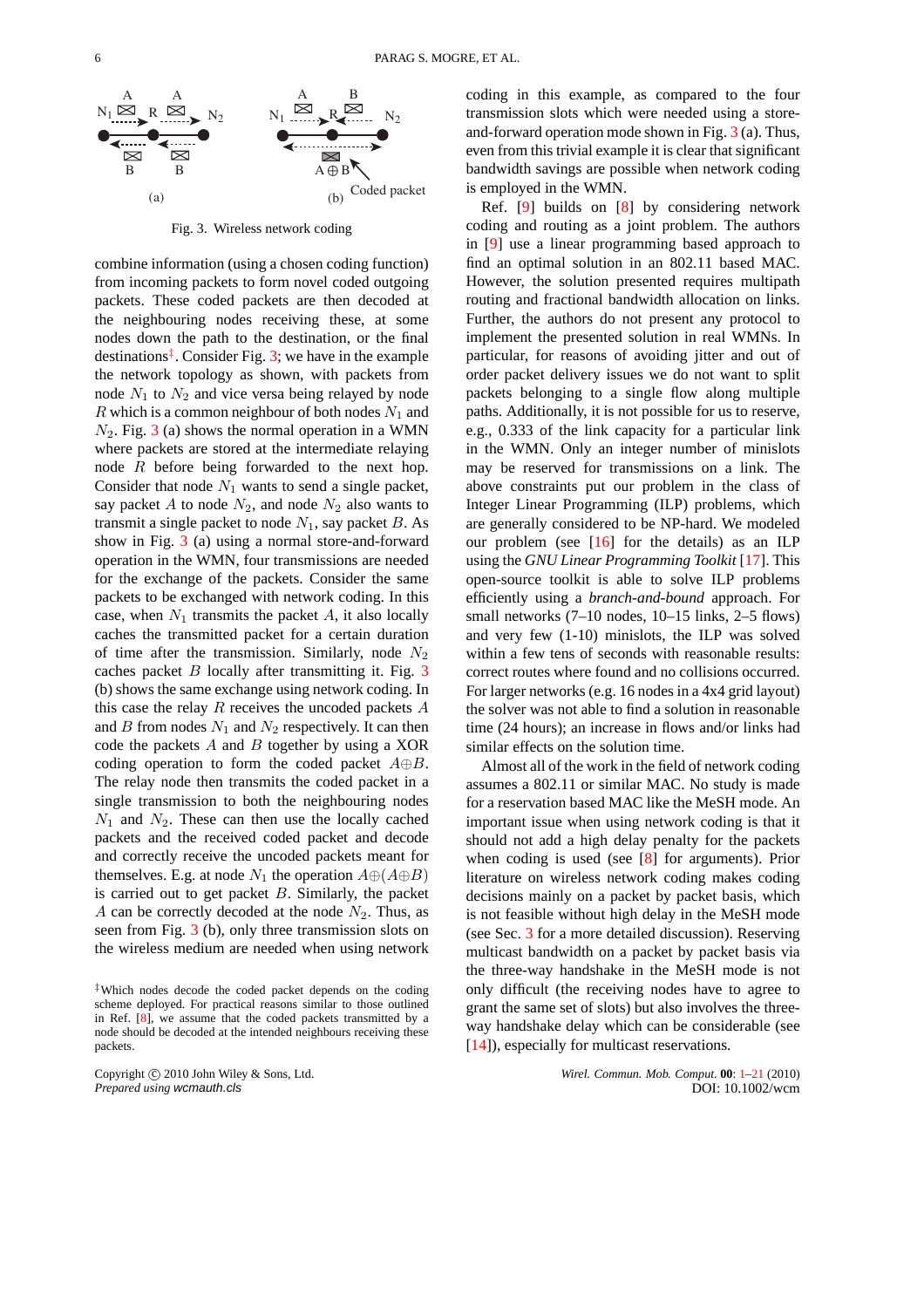

Fig. 3. Wireless network coding

combine information (using a chosen coding function) from incoming packets to form novel coded outgoing packets. These coded packets are then decoded at the neighbouring nodes receiving these, at some nodes down the path to the destination, or the final destinations<sup>‡</sup>. Consider Fig. 3; we have in the example the network topology as shown, with packets from node  $N_1$  to  $N_2$  and vice versa being relayed by node  $R$  which is a common neighbour of both nodes  $N_1$  and  $N_2$ . Fig. 3 (a) shows the normal operation in a WMN where packets are stored at the intermediate relaying node R before being forwarded to the next hop. Consider that node  $N_1$  wants to send a single packet, say packet A to node  $N_2$ , and node  $N_2$  also wants to transmit a single packet to node  $N_1$ , say packet B. As show in Fig. 3 (a) using a normal store-and-forward operation in the WMN, four transmissions are needed for the exchange of the packets. Consider the same packets to be exchanged with network coding. In this case, when  $N_1$  transmits the packet  $A$ , it also locally caches the transmitted packet for a certain duration of time after the transmission. Similarly, node  $N_2$ caches packet  $B$  locally after transmitting it. Fig.  $3$ (b) shows the same exchange using network coding. In this case the relay R receives the uncoded packets A and B from nodes  $N_1$  and  $N_2$  respectively. It can then code the packets  $A$  and  $B$  together by using a XOR coding operation to form the coded packet  $A \oplus B$ . The relay node then transmits the coded packet in a single transmission to both the neighbouring nodes  $N_1$  and  $N_2$ . These can then use the locally cached packets and the received coded packet and decode and correctly receive the uncoded packets meant for themselves. E.g. at node  $N_1$  the operation  $A \oplus (A \oplus B)$ is carried out to get packet  $B$ . Similarly, the packet A can be correctly decoded at the node  $N_2$ . Thus, as seen from Fig. 3 (b), only three transmission slots on the wireless medium are needed when using network

coding in this example, as compared to the four transmission slots which were needed using a storeand-forward operation mode shown in Fig. 3 (a). Thus, even from this trivial example it is clear that significant bandwidth savings are possible when network coding is employed in the WMN.

Ref. [9] builds on [8] by considering network coding and routing as a joint problem. The authors in [9] use a linear programming based approach to find an optimal solution in an 802.11 based MAC. However, the solution presented requires multipath routing and fractional bandwidth allocation on links. Further, the authors do not present any protocol to implement the presented solution in real WMNs. In particular, for reasons of avoiding jitter and out of order packet delivery issues we do not want to split packets belonging to a single flow along multiple paths. Additionally, it is not possible for us to reserve, e.g., 0.333 of the link capacity for a particular link in the WMN. Only an integer number of minislots may be reserved for transmissions on a link. The above constraints put our problem in the class of Integer Linear Programming (ILP) problems, which are generally considered to be NP-hard. We modeled our problem (see  $[16]$  for the details) as an ILP using the *GNU Linear Programming Toolkit* [17]. This open-source toolkit is able to solve ILP problems efficiently using a *branch-and-bound* approach. For small networks (7–10 nodes, 10–15 links, 2–5 flows) and very few (1-10) minislots, the ILP was solved within a few tens of seconds with reasonable results: correct routes where found and no collisions occurred. For larger networks (e.g. 16 nodes in a 4x4 grid layout) the solver was not able to find a solution in reasonable time (24 hours); an increase in flows and/or links had similar effects on the solution time.

Almost all of the work in the field of network coding assumes a 802.11 or similar MAC. No study is made for a reservation based MAC like the MeSH mode. An important issue when using network coding is that it should not add a high delay penalty for the packets when coding is used (see [8] for arguments). Prior literature on wireless network coding makes coding decisions mainly on a packet by packet basis, which is not feasible without high delay in the MeSH mode (see Sec. 3 for a more detailed discussion). Reserving multicast bandwidth on a packet by packet basis via the three-way handshake in the MeSH mode is not only difficult (the receiving nodes have to agree to grant the same set of slots) but also involves the threeway handshake delay which can be considerable (see [14]), especially for multicast reservations.

<sup>‡</sup>Which nodes decode the coded packet depends on the coding scheme deployed. For practical reasons similar to those outlined in Ref. [8], we assume that the coded packets transmitted by a node should be decoded at the intended neighbours receiving these packets.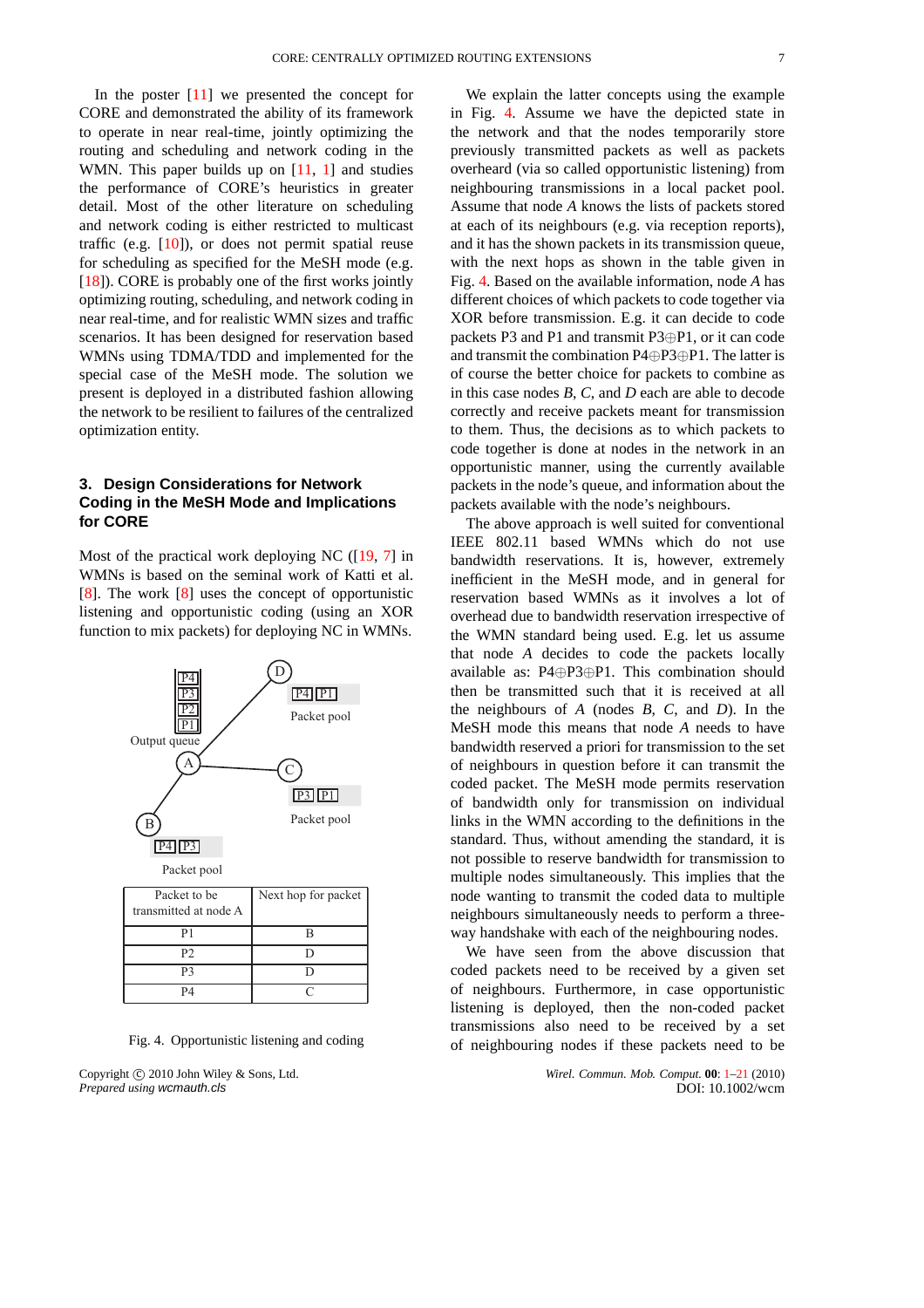In the poster [11] we presented the concept for CORE and demonstrated the ability of its framework to operate in near real-time, jointly optimizing the routing and scheduling and network coding in the WMN. This paper builds up on [11, 1] and studies the performance of CORE's heuristics in greater detail. Most of the other literature on scheduling and network coding is either restricted to multicast traffic (e.g.  $[10]$ ), or does not permit spatial reuse for scheduling as specified for the MeSH mode (e.g. [18]). CORE is probably one of the first works jointly optimizing routing, scheduling, and network coding in near real-time, and for realistic WMN sizes and traffic scenarios. It has been designed for reservation based WMNs using TDMA/TDD and implemented for the special case of the MeSH mode. The solution we present is deployed in a distributed fashion allowing the network to be resilient to failures of the centralized optimization entity.

# **3. Design Considerations for Network Coding in the MeSH Mode and Implications for CORE**

Most of the practical work deploying NC ([19, 7] in WMNs is based on the seminal work of Katti et al. [8]. The work [8] uses the concept of opportunistic listening and opportunistic coding (using an XOR function to mix packets) for deploying NC in WMNs.



Fig. 4. Opportunistic listening and coding

Copyright  $\odot$  2010 John Wiley & Sons, Ltd. *Prepared using* wcmauth.cls

We explain the latter concepts using the example in Fig. 4. Assume we have the depicted state in the network and that the nodes temporarily store previously transmitted packets as well as packets overheard (via so called opportunistic listening) from neighbouring transmissions in a local packet pool. Assume that node *A* knows the lists of packets stored at each of its neighbours (e.g. via reception reports), and it has the shown packets in its transmission queue, with the next hops as shown in the table given in Fig. 4. Based on the available information, node *A* has different choices of which packets to code together via XOR before transmission. E.g. it can decide to code packets P3 and P1 and transmit P3⊕P1, or it can code and transmit the combination P4⊕P3⊕P1. The latter is of course the better choice for packets to combine as in this case nodes *B*, *C*, and *D* each are able to decode correctly and receive packets meant for transmission to them. Thus, the decisions as to which packets to code together is done at nodes in the network in an opportunistic manner, using the currently available packets in the node's queue, and information about the packets available with the node's neighbours.

The above approach is well suited for conventional IEEE 802.11 based WMNs which do not use bandwidth reservations. It is, however, extremely inefficient in the MeSH mode, and in general for reservation based WMNs as it involves a lot of overhead due to bandwidth reservation irrespective of the WMN standard being used. E.g. let us assume that node *A* decides to code the packets locally available as: P4⊕P3⊕P1. This combination should then be transmitted such that it is received at all the neighbours of *A* (nodes *B*, *C*, and *D*). In the MeSH mode this means that node *A* needs to have bandwidth reserved a priori for transmission to the set of neighbours in question before it can transmit the coded packet. The MeSH mode permits reservation of bandwidth only for transmission on individual links in the WMN according to the definitions in the standard. Thus, without amending the standard, it is not possible to reserve bandwidth for transmission to multiple nodes simultaneously. This implies that the node wanting to transmit the coded data to multiple neighbours simultaneously needs to perform a threeway handshake with each of the neighbouring nodes.

We have seen from the above discussion that coded packets need to be received by a given set of neighbours. Furthermore, in case opportunistic listening is deployed, then the non-coded packet transmissions also need to be received by a set of neighbouring nodes if these packets need to be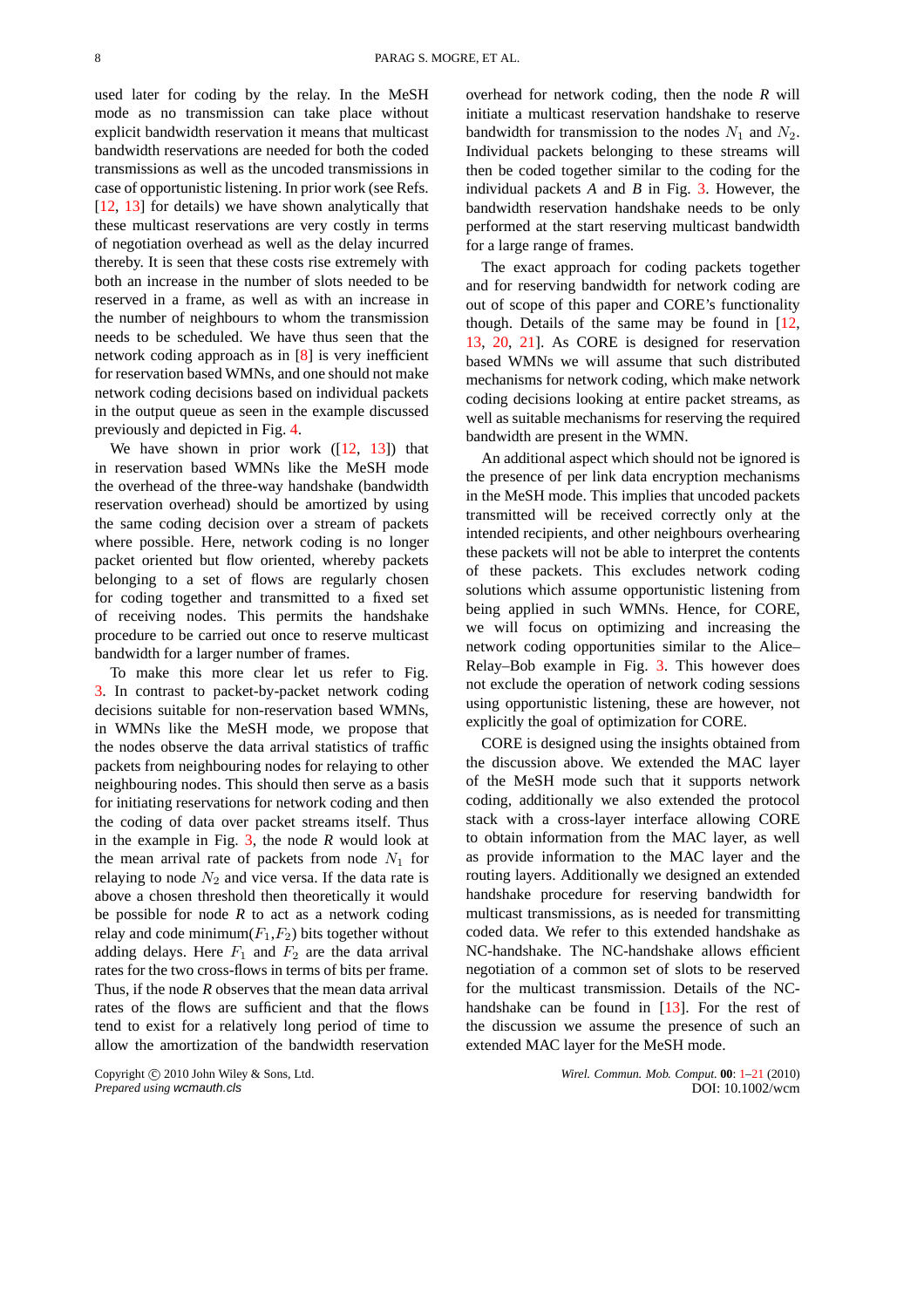used later for coding by the relay. In the MeSH mode as no transmission can take place without explicit bandwidth reservation it means that multicast bandwidth reservations are needed for both the coded transmissions as well as the uncoded transmissions in case of opportunistic listening. In prior work (see Refs. [12, 13] for details) we have shown analytically that these multicast reservations are very costly in terms of negotiation overhead as well as the delay incurred thereby. It is seen that these costs rise extremely with both an increase in the number of slots needed to be reserved in a frame, as well as with an increase in the number of neighbours to whom the transmission needs to be scheduled. We have thus seen that the network coding approach as in [8] is very inefficient for reservation based WMNs, and one should not make network coding decisions based on individual packets in the output queue as seen in the example discussed previously and depicted in Fig. 4.

We have shown in prior work  $([12, 13])$  that in reservation based WMNs like the MeSH mode the overhead of the three-way handshake (bandwidth reservation overhead) should be amortized by using the same coding decision over a stream of packets where possible. Here, network coding is no longer packet oriented but flow oriented, whereby packets belonging to a set of flows are regularly chosen for coding together and transmitted to a fixed set of receiving nodes. This permits the handshake procedure to be carried out once to reserve multicast bandwidth for a larger number of frames.

To make this more clear let us refer to Fig. 3. In contrast to packet-by-packet network coding decisions suitable for non-reservation based WMNs, in WMNs like the MeSH mode, we propose that the nodes observe the data arrival statistics of traffic packets from neighbouring nodes for relaying to other neighbouring nodes. This should then serve as a basis for initiating reservations for network coding and then the coding of data over packet streams itself. Thus in the example in Fig. 3, the node *R* would look at the mean arrival rate of packets from node  $N_1$  for relaying to node  $N_2$  and vice versa. If the data rate is above a chosen threshold then theoretically it would be possible for node *R* to act as a network coding relay and code minimum $(F_1,F_2)$  bits together without adding delays. Here  $F_1$  and  $F_2$  are the data arrival rates for the two cross-flows in terms of bits per frame. Thus, if the node *R* observes that the mean data arrival rates of the flows are sufficient and that the flows tend to exist for a relatively long period of time to allow the amortization of the bandwidth reservation

overhead for network coding, then the node *R* will initiate a multicast reservation handshake to reserve bandwidth for transmission to the nodes  $N_1$  and  $N_2$ . Individual packets belonging to these streams will then be coded together similar to the coding for the individual packets *A* and *B* in Fig. 3. However, the bandwidth reservation handshake needs to be only performed at the start reserving multicast bandwidth for a large range of frames.

The exact approach for coding packets together and for reserving bandwidth for network coding are out of scope of this paper and CORE's functionality though. Details of the same may be found in [12, 13, 20, 21]. As CORE is designed for reservation based WMNs we will assume that such distributed mechanisms for network coding, which make network coding decisions looking at entire packet streams, as well as suitable mechanisms for reserving the required bandwidth are present in the WMN.

An additional aspect which should not be ignored is the presence of per link data encryption mechanisms in the MeSH mode. This implies that uncoded packets transmitted will be received correctly only at the intended recipients, and other neighbours overhearing these packets will not be able to interpret the contents of these packets. This excludes network coding solutions which assume opportunistic listening from being applied in such WMNs. Hence, for CORE, we will focus on optimizing and increasing the network coding opportunities similar to the Alice– Relay–Bob example in Fig. 3. This however does not exclude the operation of network coding sessions using opportunistic listening, these are however, not explicitly the goal of optimization for CORE.

CORE is designed using the insights obtained from the discussion above. We extended the MAC layer of the MeSH mode such that it supports network coding, additionally we also extended the protocol stack with a cross-layer interface allowing CORE to obtain information from the MAC layer, as well as provide information to the MAC layer and the routing layers. Additionally we designed an extended handshake procedure for reserving bandwidth for multicast transmissions, as is needed for transmitting coded data. We refer to this extended handshake as NC-handshake. The NC-handshake allows efficient negotiation of a common set of slots to be reserved for the multicast transmission. Details of the NChandshake can be found in [13]. For the rest of the discussion we assume the presence of such an extended MAC layer for the MeSH mode.

Copyright  $\odot$  2010 John Wiley & Sons, Ltd. *Prepared using* wcmauth.cls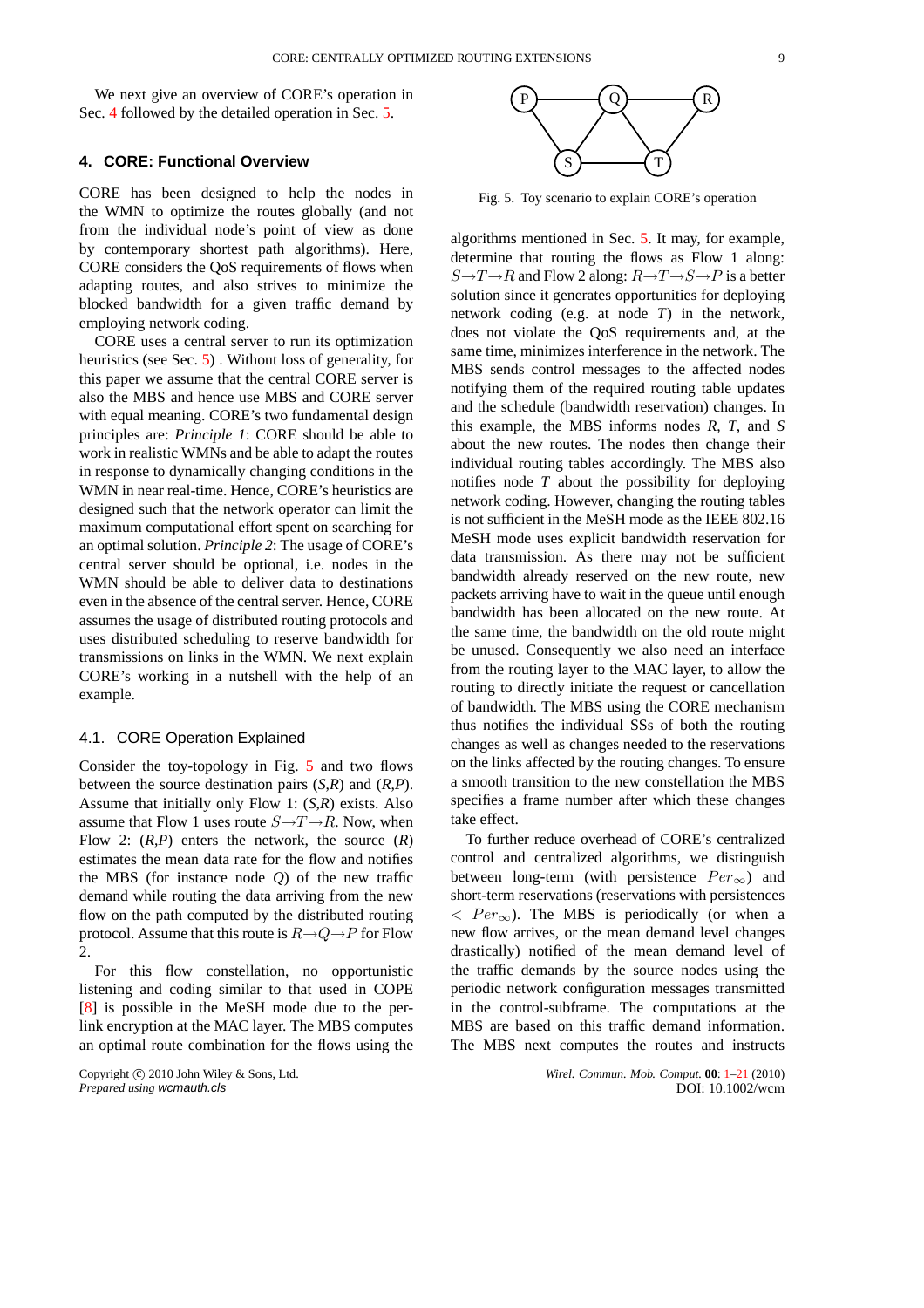We next give an overview of CORE's operation in Sec. 4 followed by the detailed operation in Sec. 5.

# **4. CORE: Functional Overview**

CORE has been designed to help the nodes in the WMN to optimize the routes globally (and not from the individual node's point of view as done by contemporary shortest path algorithms). Here, CORE considers the QoS requirements of flows when adapting routes, and also strives to minimize the blocked bandwidth for a given traffic demand by employing network coding.

CORE uses a central server to run its optimization heuristics (see Sec. 5) . Without loss of generality, for this paper we assume that the central CORE server is also the MBS and hence use MBS and CORE server with equal meaning. CORE's two fundamental design principles are: *Principle 1*: CORE should be able to work in realistic WMNs and be able to adapt the routes in response to dynamically changing conditions in the WMN in near real-time. Hence, CORE's heuristics are designed such that the network operator can limit the maximum computational effort spent on searching for an optimal solution. *Principle 2*: The usage of CORE's central server should be optional, i.e. nodes in the WMN should be able to deliver data to destinations even in the absence of the central server. Hence, CORE assumes the usage of distributed routing protocols and uses distributed scheduling to reserve bandwidth for transmissions on links in the WMN. We next explain CORE's working in a nutshell with the help of an example.

# 4.1. CORE Operation Explained

Consider the toy-topology in Fig. 5 and two flows between the source destination pairs (*S*,*R*) and (*R*,*P*). Assume that initially only Flow 1: (*S*,*R*) exists. Also assume that Flow 1 uses route  $S \rightarrow T \rightarrow R$ . Now, when Flow 2:  $(R, P)$  enters the network, the source  $(R)$ estimates the mean data rate for the flow and notifies the MBS (for instance node *Q*) of the new traffic demand while routing the data arriving from the new flow on the path computed by the distributed routing protocol. Assume that this route is  $R\rightarrow Q\rightarrow P$  for Flow 2.

For this flow constellation, no opportunistic listening and coding similar to that used in COPE [8] is possible in the MeSH mode due to the perlink encryption at the MAC layer. The MBS computes an optimal route combination for the flows using the



Fig. 5. Toy scenario to explain CORE's operation

algorithms mentioned in Sec. 5. It may, for example, determine that routing the flows as Flow 1 along:  $S \rightarrow T \rightarrow R$  and Flow 2 along:  $R \rightarrow T \rightarrow S \rightarrow P$  is a better solution since it generates opportunities for deploying network coding (e.g. at node *T*) in the network, does not violate the QoS requirements and, at the same time, minimizes interference in the network. The MBS sends control messages to the affected nodes notifying them of the required routing table updates and the schedule (bandwidth reservation) changes. In this example, the MBS informs nodes *R*, *T*, and *S* about the new routes. The nodes then change their individual routing tables accordingly. The MBS also notifies node *T* about the possibility for deploying network coding. However, changing the routing tables is not sufficient in the MeSH mode as the IEEE 802.16 MeSH mode uses explicit bandwidth reservation for data transmission. As there may not be sufficient bandwidth already reserved on the new route, new packets arriving have to wait in the queue until enough bandwidth has been allocated on the new route. At the same time, the bandwidth on the old route might be unused. Consequently we also need an interface from the routing layer to the MAC layer, to allow the routing to directly initiate the request or cancellation of bandwidth. The MBS using the CORE mechanism thus notifies the individual SSs of both the routing changes as well as changes needed to the reservations on the links affected by the routing changes. To ensure a smooth transition to the new constellation the MBS specifies a frame number after which these changes take effect.

To further reduce overhead of CORE's centralized control and centralized algorithms, we distinguish between long-term (with persistence  $Per_{\infty}$ ) and short-term reservations (reservations with persistences  $\langle Per_{\infty}$ ). The MBS is periodically (or when a new flow arrives, or the mean demand level changes drastically) notified of the mean demand level of the traffic demands by the source nodes using the periodic network configuration messages transmitted in the control-subframe. The computations at the MBS are based on this traffic demand information. The MBS next computes the routes and instructs

Copyright  $\odot$  2010 John Wiley & Sons, Ltd. *Prepared using* wcmauth.cls

*Wirel. Commun. Mob. Comput.* **00**: 1–21 (2010) DOI: 10.1002/wcm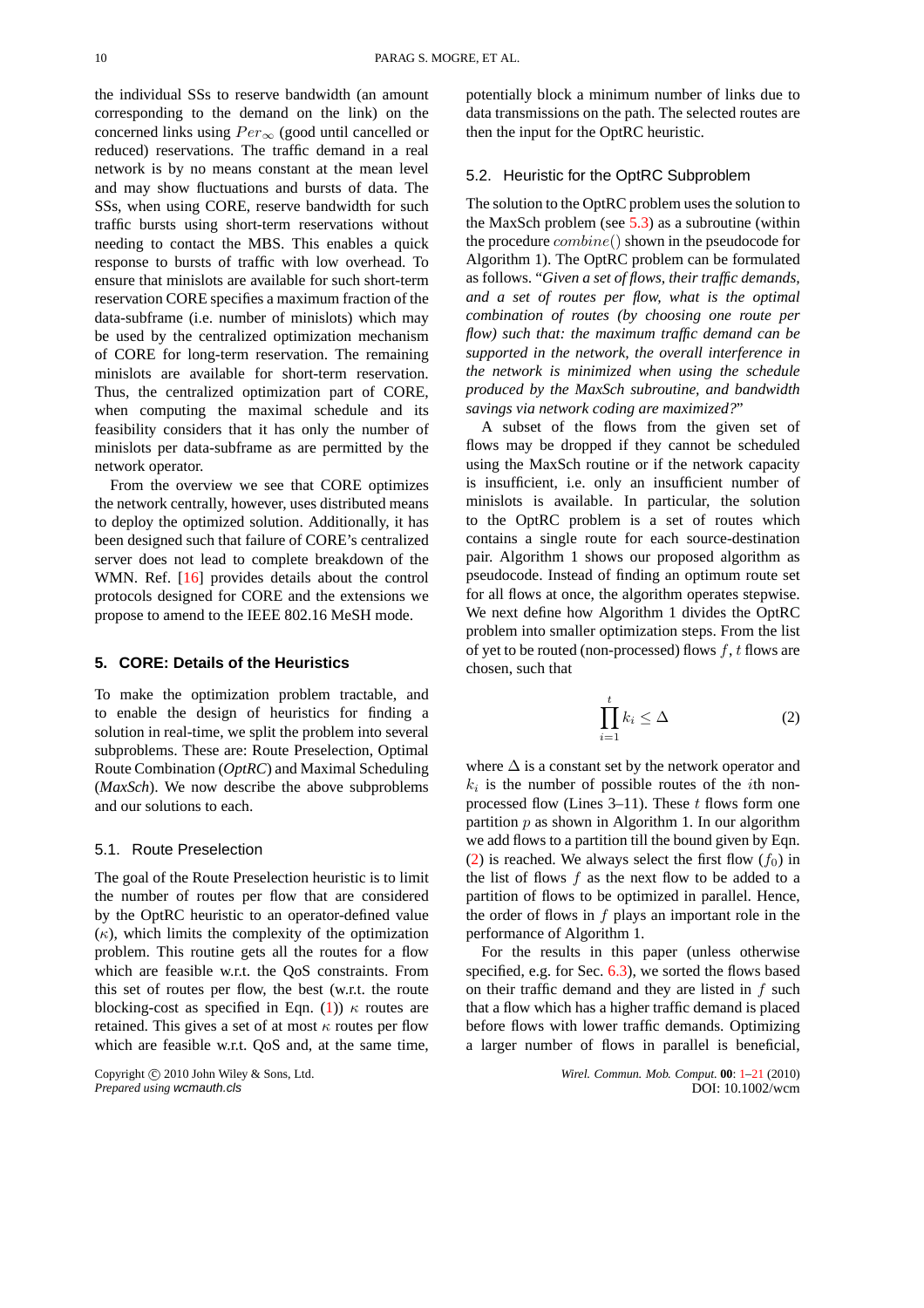the individual SSs to reserve bandwidth (an amount corresponding to the demand on the link) on the concerned links using  $Per_{\infty}$  (good until cancelled or reduced) reservations. The traffic demand in a real network is by no means constant at the mean level and may show fluctuations and bursts of data. The SSs, when using CORE, reserve bandwidth for such traffic bursts using short-term reservations without needing to contact the MBS. This enables a quick response to bursts of traffic with low overhead. To ensure that minislots are available for such short-term reservation CORE specifies a maximum fraction of the data-subframe (i.e. number of minislots) which may be used by the centralized optimization mechanism of CORE for long-term reservation. The remaining minislots are available for short-term reservation. Thus, the centralized optimization part of CORE, when computing the maximal schedule and its feasibility considers that it has only the number of minislots per data-subframe as are permitted by the network operator.

From the overview we see that CORE optimizes the network centrally, however, uses distributed means to deploy the optimized solution. Additionally, it has been designed such that failure of CORE's centralized server does not lead to complete breakdown of the WMN. Ref. [16] provides details about the control protocols designed for CORE and the extensions we propose to amend to the IEEE 802.16 MeSH mode.

## **5. CORE: Details of the Heuristics**

To make the optimization problem tractable, and to enable the design of heuristics for finding a solution in real-time, we split the problem into several subproblems. These are: Route Preselection, Optimal Route Combination (*OptRC*) and Maximal Scheduling (*MaxSch*). We now describe the above subproblems and our solutions to each.

#### 5.1. Route Preselection

The goal of the Route Preselection heuristic is to limit the number of routes per flow that are considered by the OptRC heuristic to an operator-defined value  $(\kappa)$ , which limits the complexity of the optimization problem. This routine gets all the routes for a flow which are feasible w.r.t. the QoS constraints. From this set of routes per flow, the best (w.r.t. the route blocking-cost as specified in Eqn. (1))  $\kappa$  routes are retained. This gives a set of at most  $\kappa$  routes per flow which are feasible w.r.t. QoS and, at the same time,

Copyright  $\odot$  2010 John Wiley & Sons, Ltd. *Prepared using* wcmauth.cls

potentially block a minimum number of links due to data transmissions on the path. The selected routes are then the input for the OptRC heuristic.

## 5.2. Heuristic for the OptRC Subproblem

The solution to the OptRC problem uses the solution to the MaxSch problem (see  $5.3$ ) as a subroutine (within the procedure combine() shown in the pseudocode for Algorithm 1). The OptRC problem can be formulated as follows. "*Given a set of flows, their traffic demands, and a set of routes per flow, what is the optimal combination of routes (by choosing one route per flow) such that: the maximum traffic demand can be supported in the network, the overall interference in the network is minimized when using the schedule produced by the MaxSch subroutine, and bandwidth savings via network coding are maximized?*"

A subset of the flows from the given set of flows may be dropped if they cannot be scheduled using the MaxSch routine or if the network capacity is insufficient, i.e. only an insufficient number of minislots is available. In particular, the solution to the OptRC problem is a set of routes which contains a single route for each source-destination pair. Algorithm 1 shows our proposed algorithm as pseudocode. Instead of finding an optimum route set for all flows at once, the algorithm operates stepwise. We next define how Algorithm 1 divides the OptRC problem into smaller optimization steps. From the list of yet to be routed (non-processed) flows  $f, t$  flows are chosen, such that

$$
\prod_{i=1}^{t} k_i \le \Delta \tag{2}
$$

where  $\Delta$  is a constant set by the network operator and  $k_i$  is the number of possible routes of the *i*th nonprocessed flow (Lines 3–11). These  $t$  flows form one partition  $p$  as shown in Algorithm 1. In our algorithm we add flows to a partition till the bound given by Eqn. (2) is reached. We always select the first flow  $(f_0)$  in the list of flows  $f$  as the next flow to be added to a partition of flows to be optimized in parallel. Hence, the order of flows in  $f$  plays an important role in the performance of Algorithm 1.

For the results in this paper (unless otherwise specified, e.g. for Sec. 6.3), we sorted the flows based on their traffic demand and they are listed in f such that a flow which has a higher traffic demand is placed before flows with lower traffic demands. Optimizing a larger number of flows in parallel is beneficial,

*Wirel. Commun. Mob. Comput.* **00**: 1–21 (2010) DOI: 10.1002/wcm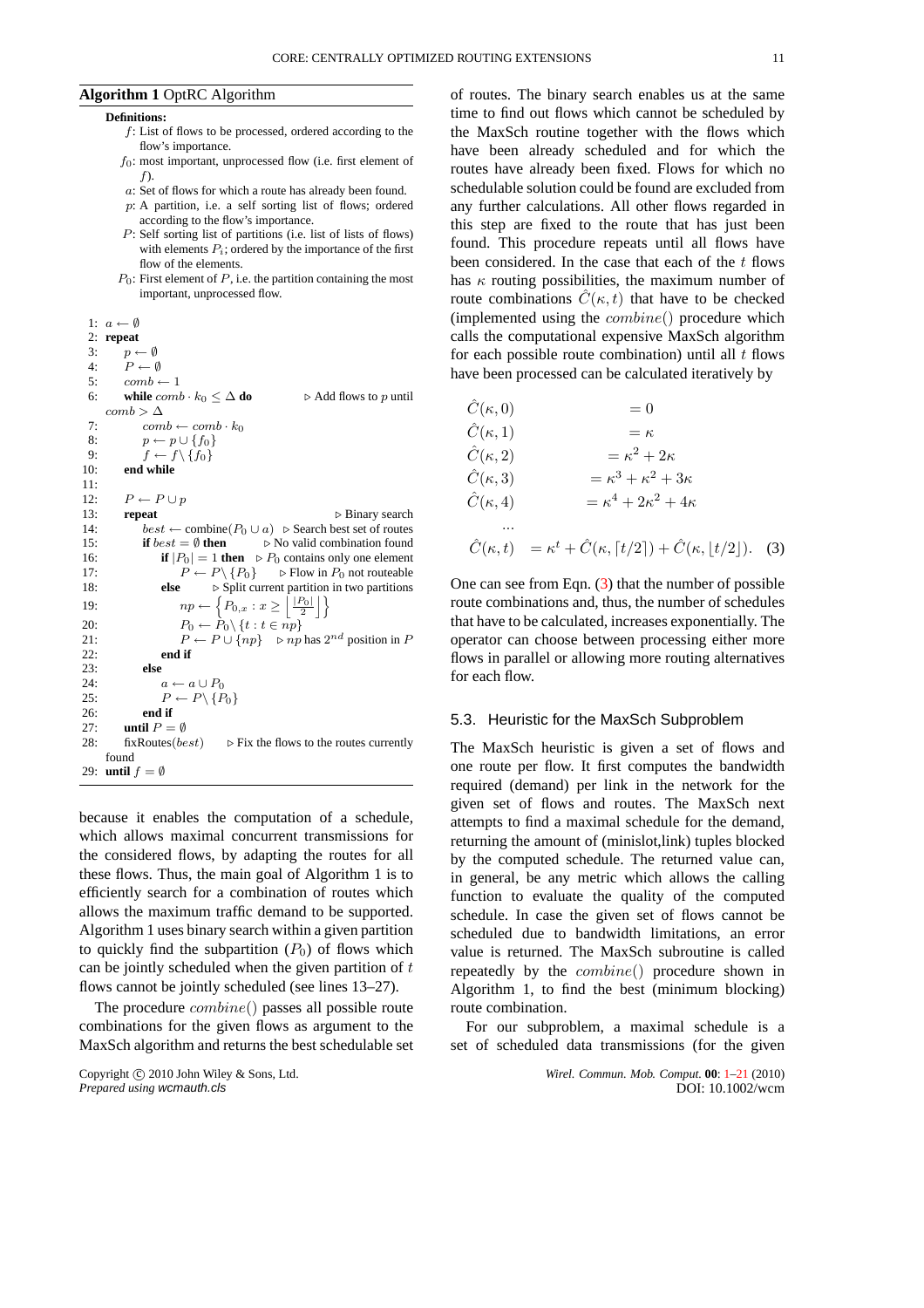## **Algorithm 1** OptRC Algorithm

#### **Definitions:**

- f: List of flows to be processed, ordered according to the flow's importance.
- $f_0$ : most important, unprocessed flow (i.e. first element of f).
- a: Set of flows for which a route has already been found.
- p: A partition, i.e. a self sorting list of flows; ordered
- according to the flow's importance. P: Self sorting list of partitions (i.e. list of lists of flows) with elements  $P_i$ ; ordered by the importance of the first flow of the elements.
- $P_0$ : First element of  $P$ , i.e. the partition containing the most important, unprocessed flow.

1:  $a \leftarrow \emptyset$ 2: **repeat** 3:  $p \leftarrow \emptyset$ 4:  $P \leftarrow \emptyset$ 5:  $comb \leftarrow 1$ 6: **while**  $comb \cdot k_0 \leq \Delta$  **do**  $\triangleright$  Add flows to p until  $comb > \Delta$ 7:  $comb \leftarrow comb \cdot k_0$ 8:  $p \leftarrow p \cup \{f_0\}$ 9:  $f \leftarrow f \setminus \{f_0\}$ <br>10: **end while** end while 11: 12:  $P \leftarrow P \sqcup p$ 13: **repeat** ⊳ Binary search 14: best ← combine( $P_0 \cup a$ ) ⊳ Search best set of routes 15: **if**  $best = \emptyset$  **then**  $\triangleright$  No valid combination found 16: **if**  $|P_0| = 1$  **then**  $\triangleright P_0$  contains only one element 17:  $P \leftarrow P \setminus \{P_0\}$   $\triangleright$  Flow in  $P_0$  not routeable 18: **else** ⊲ Split current partition in two partitions 19:  $np \leftarrow \left\{ P_{0,x} : x \ge \left| \frac{|P_0|}{2} \right| \right\}$ 20:  $P_0 \leftarrow \hat{P}_0 \setminus \{t : t \in np\}$ 21:  $P \leftarrow P \cup \{np\}$   $\triangleright np$  has  $2^{nd}$  position in P 22: **end if** 23: **else** 24:  $a \leftarrow a \cup P_0$ <br>25:  $P \leftarrow P \setminus \{P\}$  $P \leftarrow P \setminus \{P_0\}$ 26: **end if** 27: **until**  $P = \emptyset$ 28: fixRoutes(*best*)  $\triangleright$  Fix the flows to the routes currently found 29: **until**  $f = \emptyset$ 

because it enables the computation of a schedule, which allows maximal concurrent transmissions for the considered flows, by adapting the routes for all these flows. Thus, the main goal of Algorithm 1 is to efficiently search for a combination of routes which allows the maximum traffic demand to be supported. Algorithm 1 uses binary search within a given partition to quickly find the subpartition  $(P_0)$  of flows which can be jointly scheduled when the given partition of  $t$ flows cannot be jointly scheduled (see lines 13–27).

The procedure combine() passes all possible route combinations for the given flows as argument to the MaxSch algorithm and returns the best schedulable set of routes. The binary search enables us at the same time to find out flows which cannot be scheduled by the MaxSch routine together with the flows which have been already scheduled and for which the routes have already been fixed. Flows for which no schedulable solution could be found are excluded from any further calculations. All other flows regarded in this step are fixed to the route that has just been found. This procedure repeats until all flows have been considered. In the case that each of the  $t$  flows has  $\kappa$  routing possibilities, the maximum number of route combinations  $\hat{C}(\kappa, t)$  that have to be checked (implemented using the combine() procedure which calls the computational expensive MaxSch algorithm for each possible route combination) until all  $t$  flows have been processed can be calculated iteratively by

$$
\hat{C}(\kappa, 0) = 0
$$
\n
$$
\hat{C}(\kappa, 1) = \kappa
$$
\n
$$
\hat{C}(\kappa, 2) = \kappa^2 + 2\kappa
$$
\n
$$
\hat{C}(\kappa, 3) = \kappa^3 + \kappa^2 + 3\kappa
$$
\n
$$
\hat{C}(\kappa, 4) = \kappa^4 + 2\kappa^2 + 4\kappa
$$
\n
$$
\hat{C}(\kappa, t) = \kappa^t + \hat{C}(\kappa, \lceil t/2 \rceil) + \hat{C}(\kappa, \lceil t/2 \rceil). \tag{3}
$$

One can see from Eqn. (3) that the number of possible route combinations and, thus, the number of schedules that have to be calculated, increases exponentially. The operator can choose between processing either more flows in parallel or allowing more routing alternatives for each flow.

## 5.3. Heuristic for the MaxSch Subproblem

The MaxSch heuristic is given a set of flows and one route per flow. It first computes the bandwidth required (demand) per link in the network for the given set of flows and routes. The MaxSch next attempts to find a maximal schedule for the demand, returning the amount of (minislot,link) tuples blocked by the computed schedule. The returned value can, in general, be any metric which allows the calling function to evaluate the quality of the computed schedule. In case the given set of flows cannot be scheduled due to bandwidth limitations, an error value is returned. The MaxSch subroutine is called repeatedly by the combine() procedure shown in Algorithm 1, to find the best (minimum blocking) route combination.

For our subproblem, a maximal schedule is a set of scheduled data transmissions (for the given

Copyright  $\odot$  2010 John Wiley & Sons, Ltd. *Prepared using* wcmauth.cls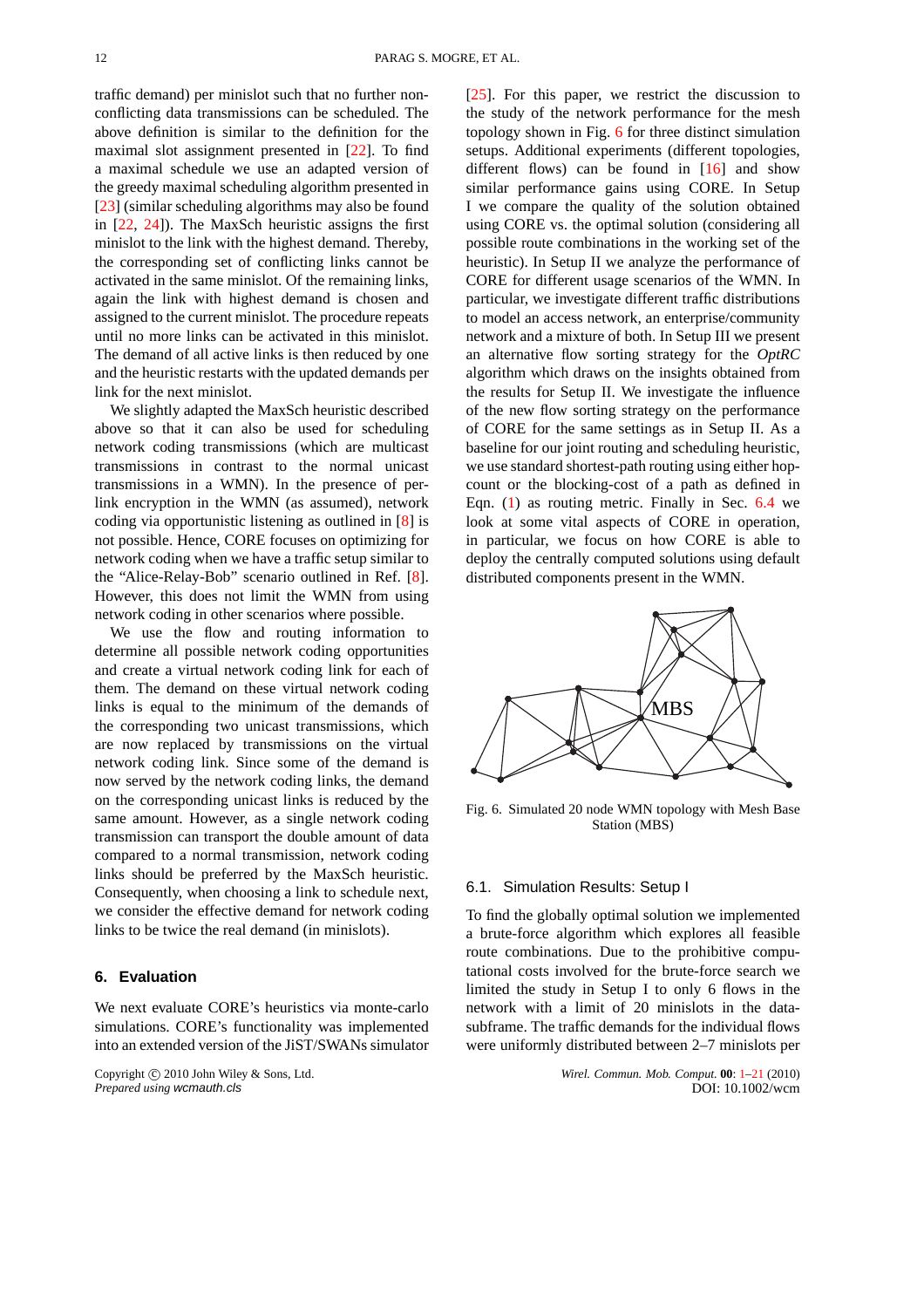traffic demand) per minislot such that no further nonconflicting data transmissions can be scheduled. The above definition is similar to the definition for the maximal slot assignment presented in [22]. To find a maximal schedule we use an adapted version of the greedy maximal scheduling algorithm presented in [23] (similar scheduling algorithms may also be found in [22, 24]). The MaxSch heuristic assigns the first minislot to the link with the highest demand. Thereby, the corresponding set of conflicting links cannot be activated in the same minislot. Of the remaining links, again the link with highest demand is chosen and assigned to the current minislot. The procedure repeats until no more links can be activated in this minislot. The demand of all active links is then reduced by one and the heuristic restarts with the updated demands per link for the next minislot.

We slightly adapted the MaxSch heuristic described above so that it can also be used for scheduling network coding transmissions (which are multicast transmissions in contrast to the normal unicast transmissions in a WMN). In the presence of perlink encryption in the WMN (as assumed), network coding via opportunistic listening as outlined in [8] is not possible. Hence, CORE focuses on optimizing for network coding when we have a traffic setup similar to the "Alice-Relay-Bob" scenario outlined in Ref. [8]. However, this does not limit the WMN from using network coding in other scenarios where possible.

We use the flow and routing information to determine all possible network coding opportunities and create a virtual network coding link for each of them. The demand on these virtual network coding links is equal to the minimum of the demands of the corresponding two unicast transmissions, which are now replaced by transmissions on the virtual network coding link. Since some of the demand is now served by the network coding links, the demand on the corresponding unicast links is reduced by the same amount. However, as a single network coding transmission can transport the double amount of data compared to a normal transmission, network coding links should be preferred by the MaxSch heuristic. Consequently, when choosing a link to schedule next, we consider the effective demand for network coding links to be twice the real demand (in minislots).

## **6. Evaluation**

We next evaluate CORE's heuristics via monte-carlo simulations. CORE's functionality was implemented into an extended version of the JiST/SWANs simulator

Copyright  $\odot$  2010 John Wiley & Sons, Ltd. *Prepared using* wcmauth.cls

[25]. For this paper, we restrict the discussion to the study of the network performance for the mesh topology shown in Fig. 6 for three distinct simulation setups. Additional experiments (different topologies, different flows) can be found in [16] and show similar performance gains using CORE. In Setup I we compare the quality of the solution obtained using CORE vs. the optimal solution (considering all possible route combinations in the working set of the heuristic). In Setup II we analyze the performance of CORE for different usage scenarios of the WMN. In particular, we investigate different traffic distributions to model an access network, an enterprise/community network and a mixture of both. In Setup III we present an alternative flow sorting strategy for the *OptRC* algorithm which draws on the insights obtained from the results for Setup II. We investigate the influence of the new flow sorting strategy on the performance of CORE for the same settings as in Setup II. As a baseline for our joint routing and scheduling heuristic, we use standard shortest-path routing using either hopcount or the blocking-cost of a path as defined in Eqn. (1) as routing metric. Finally in Sec. 6.4 we look at some vital aspects of CORE in operation, in particular, we focus on how CORE is able to deploy the centrally computed solutions using default distributed components present in the WMN.



Fig. 6. Simulated 20 node WMN topology with Mesh Base Station (MBS)

# 6.1. Simulation Results: Setup I

To find the globally optimal solution we implemented a brute-force algorithm which explores all feasible route combinations. Due to the prohibitive computational costs involved for the brute-force search we limited the study in Setup I to only 6 flows in the network with a limit of 20 minislots in the datasubframe. The traffic demands for the individual flows were uniformly distributed between 2–7 minislots per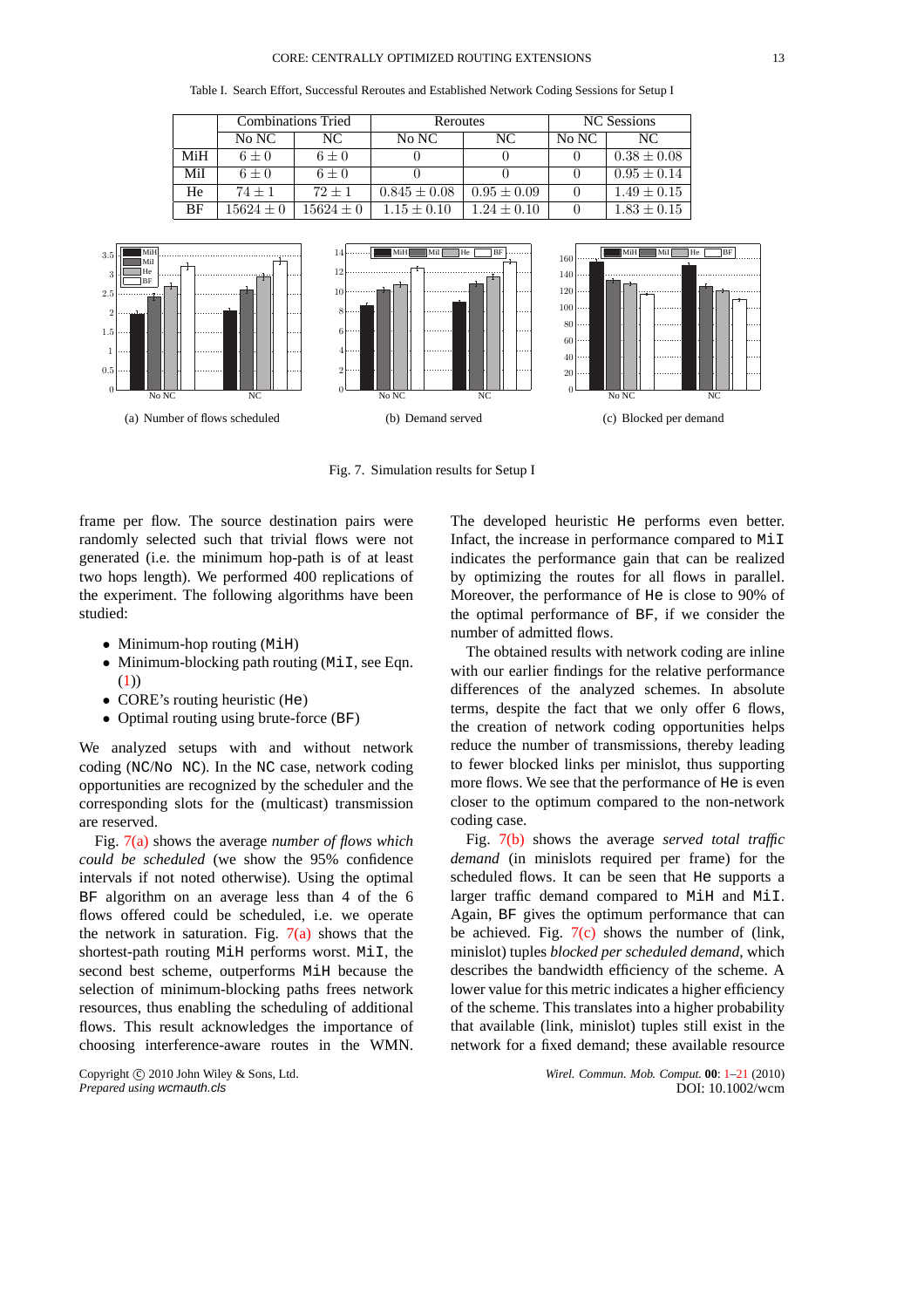Table I. Search Effort, Successful Reroutes and Established Network Coding Sessions for Setup I

|     | <b>Combinations Tried</b> |             | Reroutes         |                 | <b>NC</b> Sessions |                 |  |
|-----|---------------------------|-------------|------------------|-----------------|--------------------|-----------------|--|
|     | No NC                     | NC.         | No NC            | NC              | No NC              | NC.             |  |
| MiH | $6 + 0$                   | $6 + 0$     |                  |                 |                    | $0.38 \pm 0.08$ |  |
| MiI | $6 + 0$                   | $6 + 0$     |                  |                 |                    | $0.95 \pm 0.14$ |  |
| He  | $74 + 1$                  | $72 + 1$    | $0.845 \pm 0.08$ | $0.95 \pm 0.09$ |                    | $1.49 \pm 0.15$ |  |
| BF  | $15624 + 0$               | $15624 + 0$ | $1.15 + 0.10$    | $1.24 \pm 0.10$ |                    | $1.83 \pm 0.15$ |  |



Fig. 7. Simulation results for Setup I

frame per flow. The source destination pairs were randomly selected such that trivial flows were not generated (i.e. the minimum hop-path is of at least two hops length). We performed 400 replications of the experiment. The following algorithms have been studied:

- Minimum-hop routing (MiH)
- Minimum-blocking path routing (MiI, see Eqn. (1))
- CORE's routing heuristic (He)
- Optimal routing using brute-force (BF)

We analyzed setups with and without network coding (NC/No NC). In the NC case, network coding opportunities are recognized by the scheduler and the corresponding slots for the (multicast) transmission are reserved.

Fig. 7(a) shows the average *number of flows which could be scheduled* (we show the 95% confidence intervals if not noted otherwise). Using the optimal BF algorithm on an average less than 4 of the 6 flows offered could be scheduled, i.e. we operate the network in saturation. Fig.  $7(a)$  shows that the shortest-path routing MiH performs worst. MiI, the second best scheme, outperforms MiH because the selection of minimum-blocking paths frees network resources, thus enabling the scheduling of additional flows. This result acknowledges the importance of choosing interference-aware routes in the WMN.

The developed heuristic He performs even better. Infact, the increase in performance compared to MiI indicates the performance gain that can be realized by optimizing the routes for all flows in parallel. Moreover, the performance of He is close to 90% of the optimal performance of BF, if we consider the number of admitted flows.

The obtained results with network coding are inline with our earlier findings for the relative performance differences of the analyzed schemes. In absolute terms, despite the fact that we only offer 6 flows, the creation of network coding opportunities helps reduce the number of transmissions, thereby leading to fewer blocked links per minislot, thus supporting more flows. We see that the performance of He is even closer to the optimum compared to the non-network coding case.

Fig. 7(b) shows the average *served total traffic demand* (in minislots required per frame) for the scheduled flows. It can be seen that He supports a larger traffic demand compared to MiH and MiI. Again, BF gives the optimum performance that can be achieved. Fig.  $7(c)$  shows the number of (link, minislot) tuples *blocked per scheduled demand*, which describes the bandwidth efficiency of the scheme. A lower value for this metric indicates a higher efficiency of the scheme. This translates into a higher probability that available (link, minislot) tuples still exist in the network for a fixed demand; these available resource

*Wirel. Commun. Mob. Comput.* **00**: 1–21 (2010) DOI: 10.1002/wcm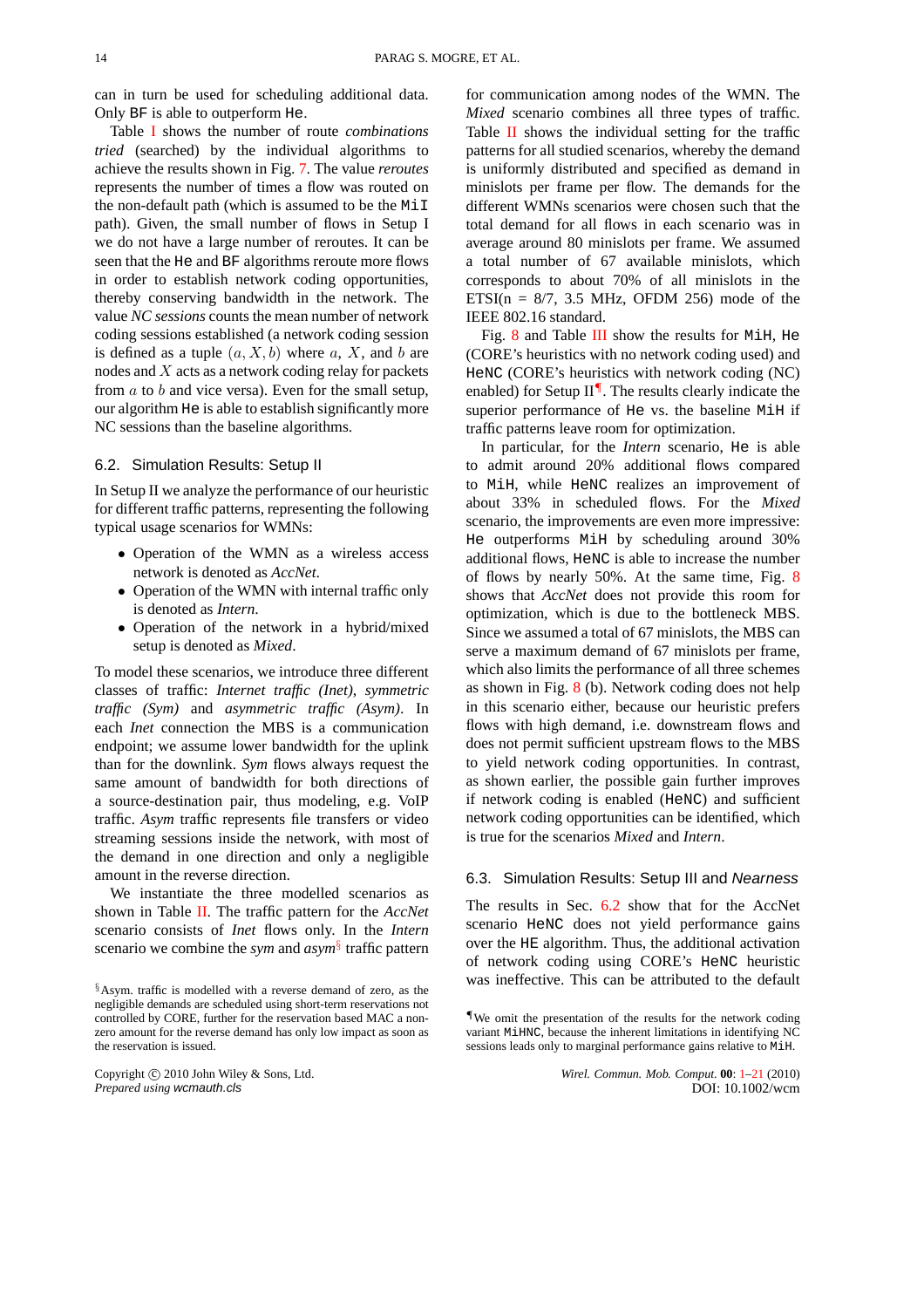can in turn be used for scheduling additional data. Only BF is able to outperform He.

Table I shows the number of route *combinations tried* (searched) by the individual algorithms to achieve the results shown in Fig. 7. The value *reroutes* represents the number of times a flow was routed on the non-default path (which is assumed to be the MiI path). Given, the small number of flows in Setup I we do not have a large number of reroutes. It can be seen that the He and BF algorithms reroute more flows in order to establish network coding opportunities, thereby conserving bandwidth in the network. The value *NC sessions* counts the mean number of network coding sessions established (a network coding session is defined as a tuple  $(a, X, b)$  where a, X, and b are nodes and X acts as a network coding relay for packets from  $a$  to  $b$  and vice versa). Even for the small setup, our algorithm He is able to establish significantly more NC sessions than the baseline algorithms.

### 6.2. Simulation Results: Setup II

In Setup II we analyze the performance of our heuristic for different traffic patterns, representing the following typical usage scenarios for WMNs:

- Operation of the WMN as a wireless access network is denoted as *AccNet*.
- Operation of the WMN with internal traffic only is denoted as *Intern*.
- Operation of the network in a hybrid/mixed setup is denoted as *Mixed*.

To model these scenarios, we introduce three different classes of traffic: *Internet traffic (Inet)*, *symmetric traffic (Sym)* and *asymmetric traffic (Asym)*. In each *Inet* connection the MBS is a communication endpoint; we assume lower bandwidth for the uplink than for the downlink. *Sym* flows always request the same amount of bandwidth for both directions of a source-destination pair, thus modeling, e.g. VoIP traffic. *Asym* traffic represents file transfers or video streaming sessions inside the network, with most of the demand in one direction and only a negligible amount in the reverse direction.

We instantiate the three modelled scenarios as shown in Table II. The traffic pattern for the *AccNet* scenario consists of *Inet* flows only. In the *Intern* scenario we combine the *sym* and *asym*§ traffic pattern

for communication among nodes of the WMN. The *Mixed* scenario combines all three types of traffic. Table  $II$  shows the individual setting for the traffic patterns for all studied scenarios, whereby the demand is uniformly distributed and specified as demand in minislots per frame per flow. The demands for the different WMNs scenarios were chosen such that the total demand for all flows in each scenario was in average around 80 minislots per frame. We assumed a total number of 67 available minislots, which corresponds to about 70% of all minislots in the ETSI( $n = 8/7$ , 3.5 MHz, OFDM 256) mode of the IEEE 802.16 standard.

Fig. 8 and Table III show the results for MiH, He (CORE's heuristics with no network coding used) and HeNC (CORE's heuristics with network coding (NC) enabled) for Setup II $^{\bullet}$ . The results clearly indicate the superior performance of He vs. the baseline MiH if traffic patterns leave room for optimization.

In particular, for the *Intern* scenario, He is able to admit around 20% additional flows compared to MiH, while HeNC realizes an improvement of about 33% in scheduled flows. For the *Mixed* scenario, the improvements are even more impressive: He outperforms MiH by scheduling around 30% additional flows, HeNC is able to increase the number of flows by nearly 50%. At the same time, Fig. 8 shows that *AccNet* does not provide this room for optimization, which is due to the bottleneck MBS. Since we assumed a total of 67 minislots, the MBS can serve a maximum demand of 67 minislots per frame, which also limits the performance of all three schemes as shown in Fig. 8 (b). Network coding does not help in this scenario either, because our heuristic prefers flows with high demand, i.e. downstream flows and does not permit sufficient upstream flows to the MBS to yield network coding opportunities. In contrast, as shown earlier, the possible gain further improves if network coding is enabled (HeNC) and sufficient network coding opportunities can be identified, which is true for the scenarios *Mixed* and *Intern*.

## 6.3. Simulation Results: Setup III and Nearness

The results in Sec. 6.2 show that for the AccNet scenario HeNC does not yield performance gains over the HE algorithm. Thus, the additional activation of network coding using CORE's HeNC heuristic was ineffective. This can be attributed to the default

<sup>§</sup>Asym. traffic is modelled with a reverse demand of zero, as the negligible demands are scheduled using short-term reservations not controlled by CORE, further for the reservation based MAC a nonzero amount for the reverse demand has only low impact as soon as the reservation is issued.

<sup>¶</sup>We omit the presentation of the results for the network coding variant MiHNC, because the inherent limitations in identifying NC sessions leads only to marginal performance gains relative to MiH.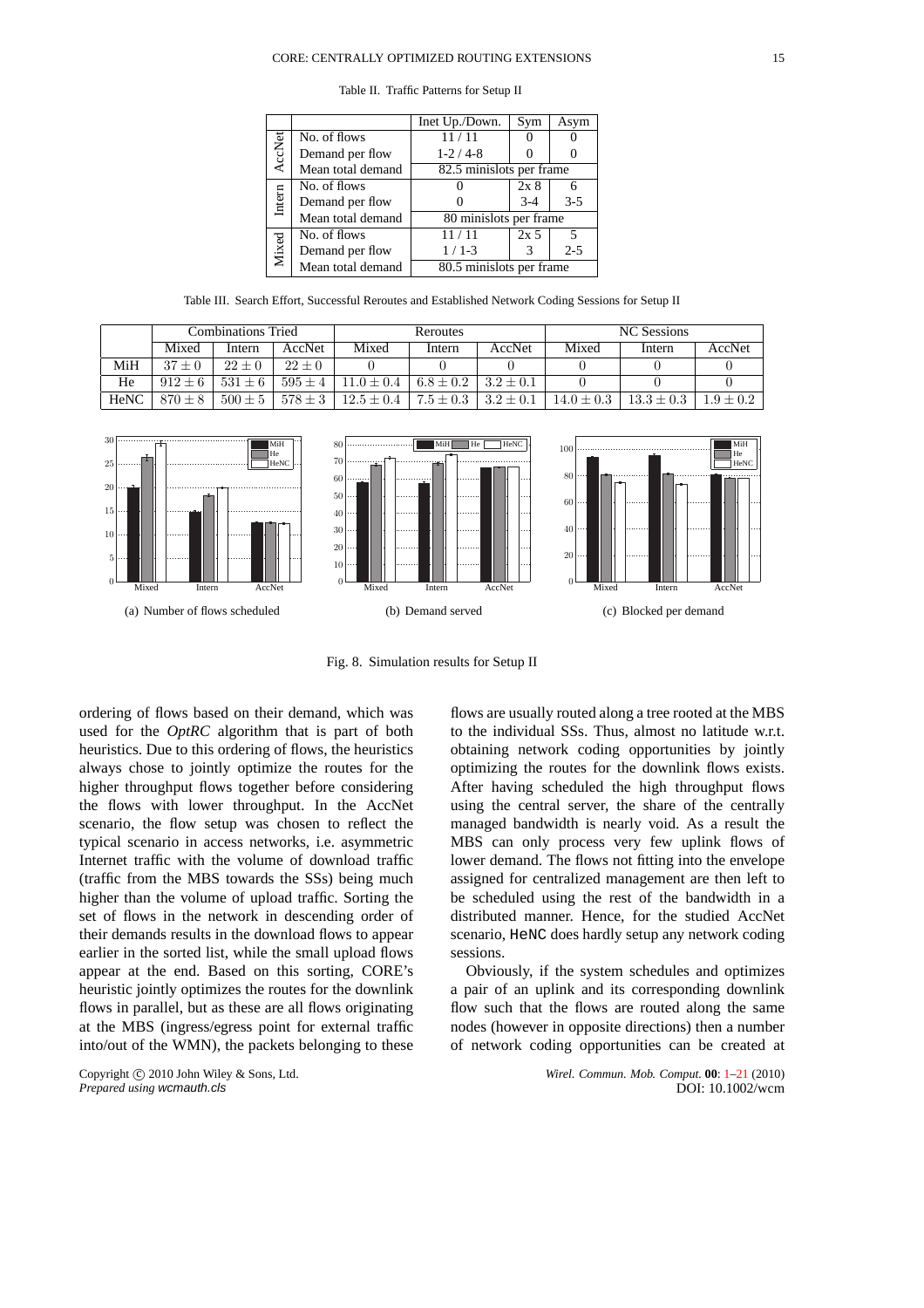|        |                   | Inet Up./Down.           | Sym             | Asym                  |
|--------|-------------------|--------------------------|-----------------|-----------------------|
| AccNet | No. of flows      | 11/11                    |                 |                       |
|        | Demand per flow   | $1 - 2 / 4 - 8$          |                 |                       |
|        | Mean total demand | 82.5 minislots per frame |                 |                       |
|        | No. of flows      |                          | 2x8             |                       |
| Intern | Demand per flow   |                          | $3 - 4$         | $3-5$<br>5<br>$2 - 5$ |
|        | Mean total demand | 80 minislots per frame   | 2x <sub>5</sub> |                       |
|        | No. of flows      | 11/11                    |                 |                       |
| Mixed  | Demand per flow   | $1/1-3$                  |                 |                       |
|        | Mean total demand | 80.5 minislots per frame |                 |                       |

Table II. Traffic Patterns for Setup II

Table III. Search Effort, Successful Reroutes and Established Network Coding Sessions for Setup II

|      | <b>Combinations Tried</b> |             |             | Reroutes       |               |               | <b>NC</b> Sessions |                |            |
|------|---------------------------|-------------|-------------|----------------|---------------|---------------|--------------------|----------------|------------|
|      | Mixed                     | Intern      | AccNet      | Mixed          | Intern        | AccNet        | Mixed              | Intern         | AccNet     |
| MiH  | $37 + 0$                  | $22 + 0$    | $22 + 0$    |                |               |               |                    |                |            |
| He   | $912 + 6$                 | $531 + 6$   | $595 \pm 4$ | $11.0 \pm 0.4$ | $6.8 \pm 0.2$ | $3.2 + 0.1$   |                    |                |            |
| HeNC | $870 \pm 8$               | $500 \pm 5$ | $578 \pm 3$ | $12.5 \pm 0.4$ | $7.5 \pm 0.3$ | $3.2 \pm 0.1$ | $14.0 \pm 0.3$     | $13.3 \pm 0.3$ | $.9 + 0.2$ |



Fig. 8. Simulation results for Setup II

ordering of flows based on their demand, which was used for the *OptRC* algorithm that is part of both heuristics. Due to this ordering of flows, the heuristics always chose to jointly optimize the routes for the higher throughput flows together before considering the flows with lower throughput. In the AccNet scenario, the flow setup was chosen to reflect the typical scenario in access networks, i.e. asymmetric Internet traffic with the volume of download traffic (traffic from the MBS towards the SSs) being much higher than the volume of upload traffic. Sorting the set of flows in the network in descending order of their demands results in the download flows to appear earlier in the sorted list, while the small upload flows appear at the end. Based on this sorting, CORE's heuristic jointly optimizes the routes for the downlink flows in parallel, but as these are all flows originating at the MBS (ingress/egress point for external traffic into/out of the WMN), the packets belonging to these flows are usually routed along a tree rooted at the MBS to the individual SSs. Thus, almost no latitude w.r.t. obtaining network coding opportunities by jointly optimizing the routes for the downlink flows exists. After having scheduled the high throughput flows using the central server, the share of the centrally managed bandwidth is nearly void. As a result the MBS can only process very few uplink flows of lower demand. The flows not fitting into the envelope assigned for centralized management are then left to be scheduled using the rest of the bandwidth in a distributed manner. Hence, for the studied AccNet scenario, HeNC does hardly setup any network coding sessions.

Obviously, if the system schedules and optimizes a pair of an uplink and its corresponding downlink flow such that the flows are routed along the same nodes (however in opposite directions) then a number of network coding opportunities can be created at

Copyright  $\odot$  2010 John Wiley & Sons, Ltd. *Prepared using* wcmauth.cls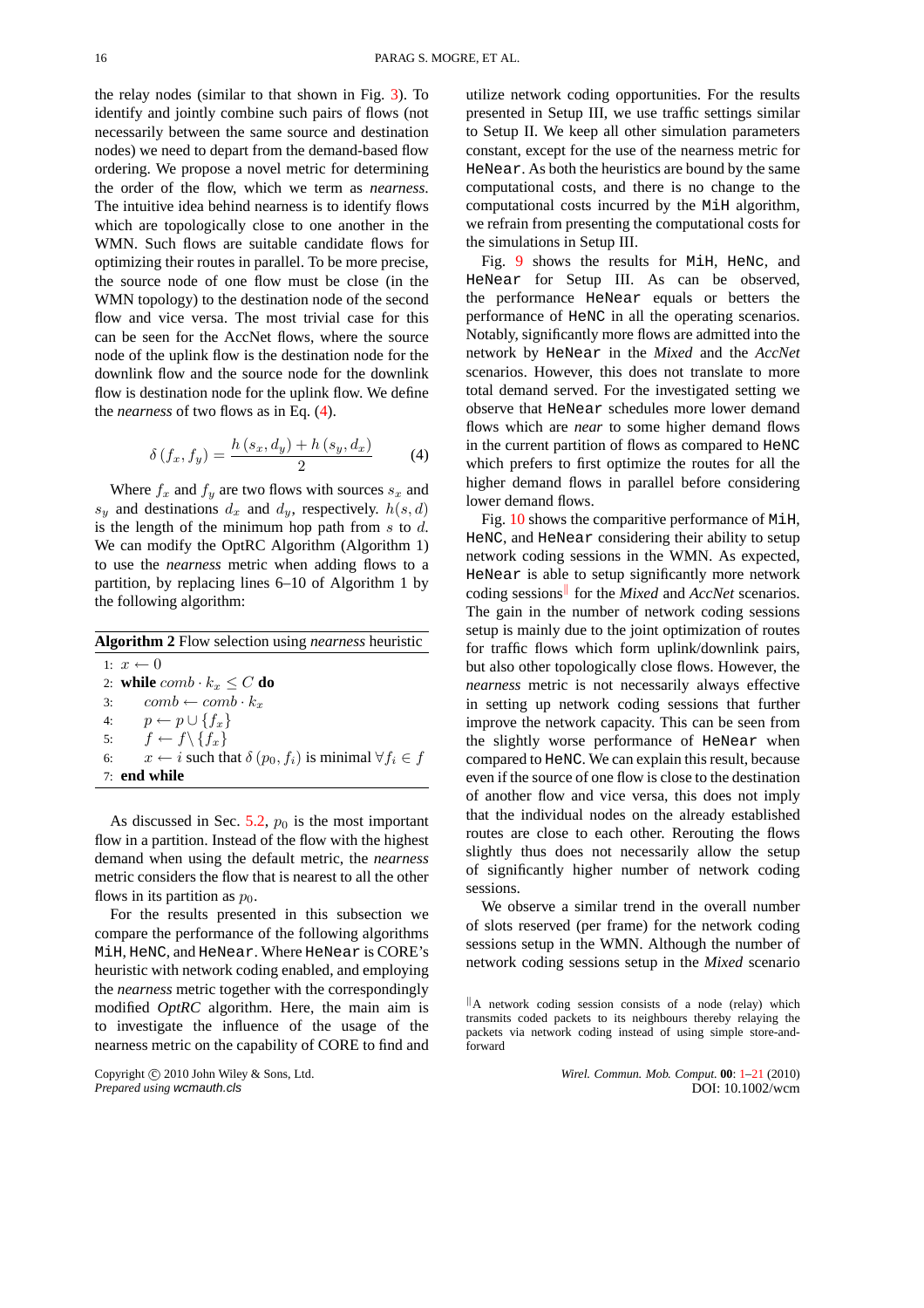the relay nodes (similar to that shown in Fig. 3). To identify and jointly combine such pairs of flows (not necessarily between the same source and destination nodes) we need to depart from the demand-based flow ordering. We propose a novel metric for determining the order of the flow, which we term as *nearness*. The intuitive idea behind nearness is to identify flows which are topologically close to one another in the WMN. Such flows are suitable candidate flows for optimizing their routes in parallel. To be more precise, the source node of one flow must be close (in the WMN topology) to the destination node of the second flow and vice versa. The most trivial case for this can be seen for the AccNet flows, where the source node of the uplink flow is the destination node for the downlink flow and the source node for the downlink flow is destination node for the uplink flow. We define the *nearness* of two flows as in Eq. (4).

$$
\delta\left(f_x, f_y\right) = \frac{h\left(s_x, d_y\right) + h\left(s_y, d_x\right)}{2} \tag{4}
$$

Where  $f_x$  and  $f_y$  are two flows with sources  $s_x$  and  $s_y$  and destinations  $d_x$  and  $d_y$ , respectively.  $h(s, d)$ is the length of the minimum hop path from  $s$  to  $d$ . We can modify the OptRC Algorithm (Algorithm 1) to use the *nearness* metric when adding flows to a partition, by replacing lines 6–10 of Algorithm 1 by the following algorithm:

**Algorithm 2** Flow selection using *nearness* heuristic 1:  $x \leftarrow 0$ 2: **while**  $comb \cdot k_x \leq C$  **do** 3:  $comb \leftarrow comb \cdot k_x$ 4:  $p \leftarrow p \cup \{f_x\}$ 5:  $f \leftarrow f \setminus \{f_x\}$ 6:  $x \leftarrow i$  such that  $\delta(p_0, f_i)$  is minimal  $\forall f_i \in f$ 7: **end while**

As discussed in Sec. 5.2,  $p_0$  is the most important flow in a partition. Instead of the flow with the highest demand when using the default metric, the *nearness* metric considers the flow that is nearest to all the other flows in its partition as  $p_0$ .

For the results presented in this subsection we compare the performance of the following algorithms MiH, HeNC, and HeNear. Where HeNear is CORE's heuristic with network coding enabled, and employing the *nearness* metric together with the correspondingly modified *OptRC* algorithm. Here, the main aim is to investigate the influence of the usage of the nearness metric on the capability of CORE to find and utilize network coding opportunities. For the results presented in Setup III, we use traffic settings similar to Setup II. We keep all other simulation parameters constant, except for the use of the nearness metric for HeNear. As both the heuristics are bound by the same computational costs, and there is no change to the computational costs incurred by the MiH algorithm, we refrain from presenting the computational costs for the simulations in Setup III.

Fig. 9 shows the results for MiH, HeNc, and HeNear for Setup III. As can be observed, the performance HeNear equals or betters the performance of HeNC in all the operating scenarios. Notably, significantly more flows are admitted into the network by HeNear in the *Mixed* and the *AccNet* scenarios. However, this does not translate to more total demand served. For the investigated setting we observe that HeNear schedules more lower demand flows which are *near* to some higher demand flows in the current partition of flows as compared to HeNC which prefers to first optimize the routes for all the higher demand flows in parallel before considering lower demand flows.

Fig. 10 shows the comparitive performance of MiH, HeNC, and HeNear considering their ability to setup network coding sessions in the WMN. As expected, HeNear is able to setup significantly more network coding sessions<sup>||</sup> for the *Mixed* and *AccNet* scenarios. The gain in the number of network coding sessions setup is mainly due to the joint optimization of routes for traffic flows which form uplink/downlink pairs, but also other topologically close flows. However, the *nearness* metric is not necessarily always effective in setting up network coding sessions that further improve the network capacity. This can be seen from the slightly worse performance of HeNear when compared to HeNC. We can explain this result, because even if the source of one flow is close to the destination of another flow and vice versa, this does not imply that the individual nodes on the already established routes are close to each other. Rerouting the flows slightly thus does not necessarily allow the setup of significantly higher number of network coding sessions.

We observe a similar trend in the overall number of slots reserved (per frame) for the network coding sessions setup in the WMN. Although the number of network coding sessions setup in the *Mixed* scenario

Copyright  $\odot$  2010 John Wiley & Sons, Ltd. *Prepared using* wcmauth.cls

 $\mathbb{A}$  network coding session consists of a node (relay) which transmits coded packets to its neighbours thereby relaying the packets via network coding instead of using simple store-andforward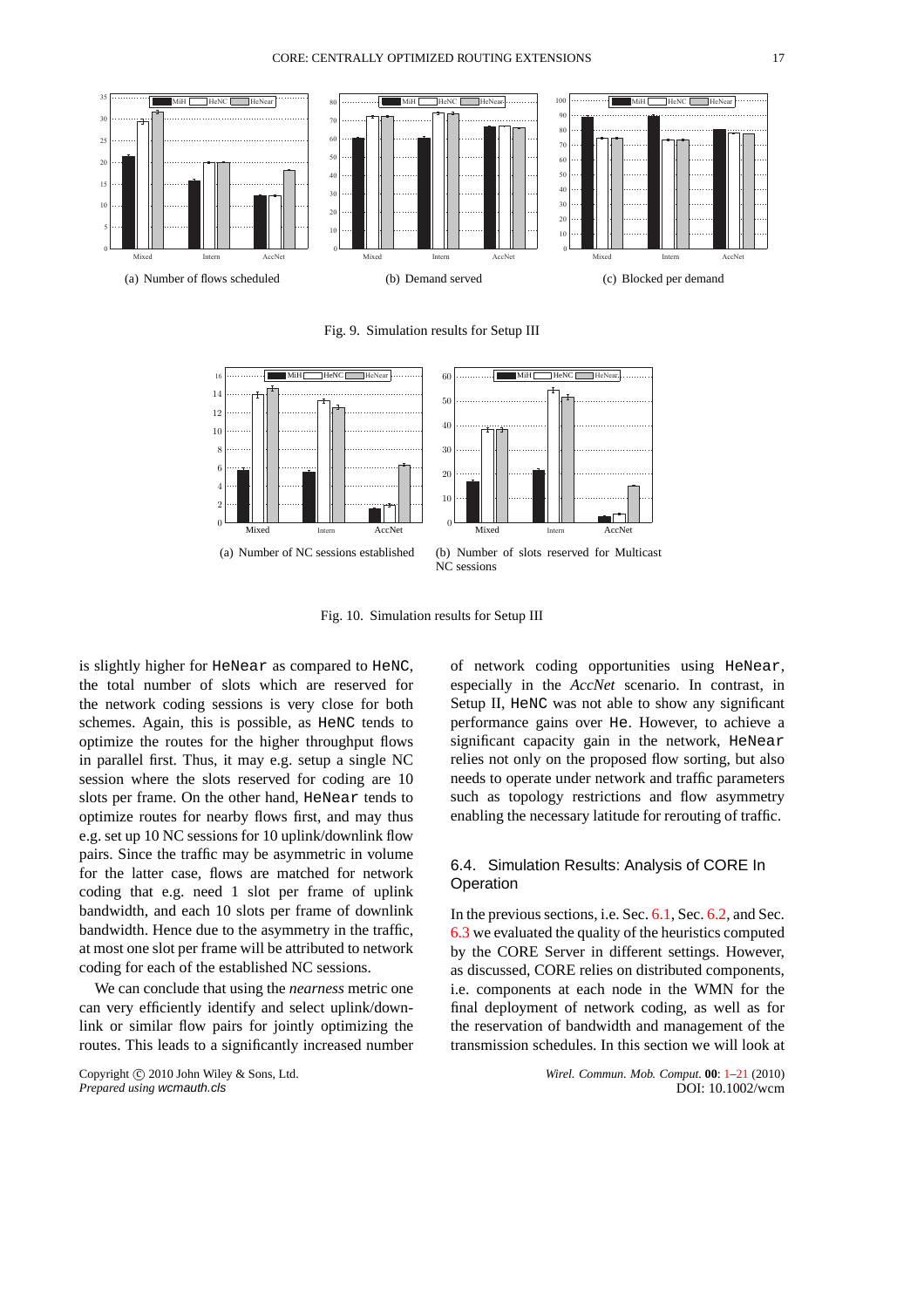

Fig. 9. Simulation results for Setup III



Fig. 10. Simulation results for Setup III

is slightly higher for HeNear as compared to HeNC, the total number of slots which are reserved for the network coding sessions is very close for both schemes. Again, this is possible, as HeNC tends to optimize the routes for the higher throughput flows in parallel first. Thus, it may e.g. setup a single NC session where the slots reserved for coding are 10 slots per frame. On the other hand, HeNear tends to optimize routes for nearby flows first, and may thus e.g. set up 10 NC sessions for 10 uplink/downlink flow pairs. Since the traffic may be asymmetric in volume for the latter case, flows are matched for network coding that e.g. need 1 slot per frame of uplink bandwidth, and each 10 slots per frame of downlink bandwidth. Hence due to the asymmetry in the traffic, at most one slot per frame will be attributed to network coding for each of the established NC sessions.

We can conclude that using the *nearness* metric one can very efficiently identify and select uplink/downlink or similar flow pairs for jointly optimizing the routes. This leads to a significantly increased number of network coding opportunities using HeNear, especially in the *AccNet* scenario. In contrast, in Setup II, HeNC was not able to show any significant performance gains over He. However, to achieve a significant capacity gain in the network, HeNear relies not only on the proposed flow sorting, but also needs to operate under network and traffic parameters such as topology restrictions and flow asymmetry enabling the necessary latitude for rerouting of traffic.

# 6.4. Simulation Results: Analysis of CORE In **Operation**

In the previous sections, i.e. Sec. 6.1, Sec. 6.2, and Sec. 6.3 we evaluated the quality of the heuristics computed by the CORE Server in different settings. However, as discussed, CORE relies on distributed components, i.e. components at each node in the WMN for the final deployment of network coding, as well as for the reservation of bandwidth and management of the transmission schedules. In this section we will look at

Copyright  $\odot$  2010 John Wiley & Sons, Ltd. *Prepared using* wcmauth.cls

*Wirel. Commun. Mob. Comput.* **00**: 1–21 (2010) DOI: 10.1002/wcm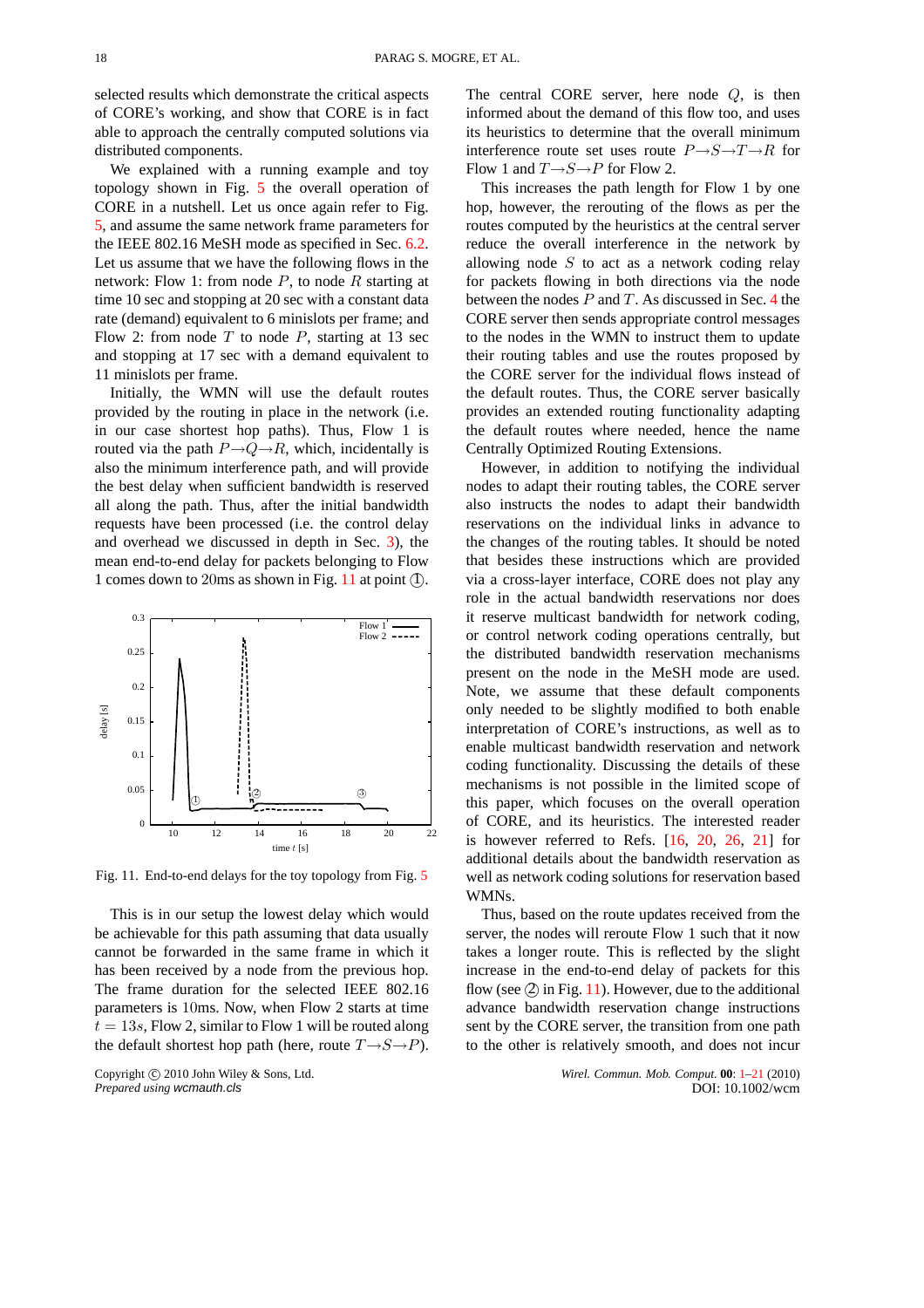selected results which demonstrate the critical aspects of CORE's working, and show that CORE is in fact able to approach the centrally computed solutions via distributed components.

We explained with a running example and toy topology shown in Fig. 5 the overall operation of CORE in a nutshell. Let us once again refer to Fig. 5, and assume the same network frame parameters for the IEEE 802.16 MeSH mode as specified in Sec. 6.2. Let us assume that we have the following flows in the network: Flow 1: from node  $P$ , to node  $R$  starting at time 10 sec and stopping at 20 sec with a constant data rate (demand) equivalent to 6 minislots per frame; and Flow 2: from node  $T$  to node  $P$ , starting at 13 sec and stopping at 17 sec with a demand equivalent to 11 minislots per frame.

Initially, the WMN will use the default routes provided by the routing in place in the network (i.e. in our case shortest hop paths). Thus, Flow 1 is routed via the path  $P\rightarrow Q\rightarrow R$ , which, incidentally is also the minimum interference path, and will provide the best delay when sufficient bandwidth is reserved all along the path. Thus, after the initial bandwidth requests have been processed (i.e. the control delay and overhead we discussed in depth in Sec. 3), the mean end-to-end delay for packets belonging to Flow 1 comes down to 20ms as shown in Fig. 11 at point  $(1)$ .



Fig. 11. End-to-end delays for the toy topology from Fig. 5

This is in our setup the lowest delay which would be achievable for this path assuming that data usually cannot be forwarded in the same frame in which it has been received by a node from the previous hop. The frame duration for the selected IEEE 802.16 parameters is 10ms. Now, when Flow 2 starts at time  $t = 13s$ , Flow 2, similar to Flow 1 will be routed along the default shortest hop path (here, route  $T \rightarrow S \rightarrow P$ ).

Copyright  $\odot$  2010 John Wiley & Sons, Ltd. *Prepared using* wcmauth.cls

The central CORE server, here node  $Q$ , is then informed about the demand of this flow too, and uses its heuristics to determine that the overall minimum interference route set uses route  $P \rightarrow S \rightarrow T \rightarrow R$  for Flow 1 and  $T\rightarrow S\rightarrow P$  for Flow 2.

This increases the path length for Flow 1 by one hop, however, the rerouting of the flows as per the routes computed by the heuristics at the central server reduce the overall interference in the network by allowing node  $S$  to act as a network coding relay for packets flowing in both directions via the node between the nodes  $P$  and  $T$ . As discussed in Sec. 4 the CORE server then sends appropriate control messages to the nodes in the WMN to instruct them to update their routing tables and use the routes proposed by the CORE server for the individual flows instead of the default routes. Thus, the CORE server basically provides an extended routing functionality adapting the default routes where needed, hence the name Centrally Optimized Routing Extensions.

However, in addition to notifying the individual nodes to adapt their routing tables, the CORE server also instructs the nodes to adapt their bandwidth reservations on the individual links in advance to the changes of the routing tables. It should be noted that besides these instructions which are provided via a cross-layer interface, CORE does not play any role in the actual bandwidth reservations nor does it reserve multicast bandwidth for network coding, or control network coding operations centrally, but the distributed bandwidth reservation mechanisms present on the node in the MeSH mode are used. Note, we assume that these default components only needed to be slightly modified to both enable interpretation of CORE's instructions, as well as to enable multicast bandwidth reservation and network coding functionality. Discussing the details of these mechanisms is not possible in the limited scope of this paper, which focuses on the overall operation of CORE, and its heuristics. The interested reader is however referred to Refs. [16, 20, 26, 21] for additional details about the bandwidth reservation as well as network coding solutions for reservation based WMNs.

Thus, based on the route updates received from the server, the nodes will reroute Flow 1 such that it now takes a longer route. This is reflected by the slight increase in the end-to-end delay of packets for this flow (see  $(2)$  in Fig. 11). However, due to the additional advance bandwidth reservation change instructions sent by the CORE server, the transition from one path to the other is relatively smooth, and does not incur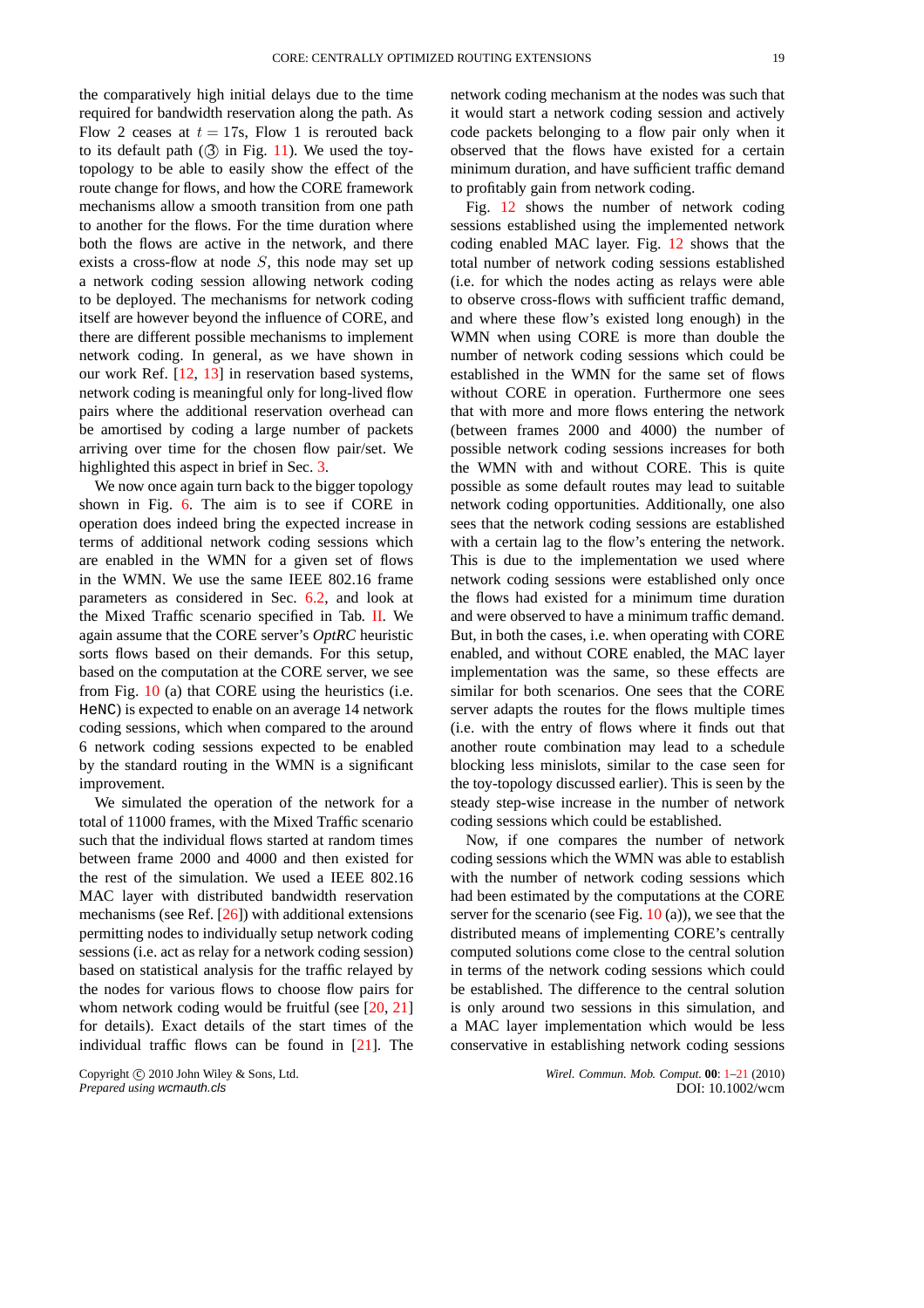the comparatively high initial delays due to the time required for bandwidth reservation along the path. As Flow 2 ceases at  $t = 17s$ , Flow 1 is rerouted back to its default path  $(3)$  in Fig. 11). We used the toytopology to be able to easily show the effect of the route change for flows, and how the CORE framework mechanisms allow a smooth transition from one path to another for the flows. For the time duration where both the flows are active in the network, and there exists a cross-flow at node  $S$ , this node may set up a network coding session allowing network coding to be deployed. The mechanisms for network coding itself are however beyond the influence of CORE, and there are different possible mechanisms to implement network coding. In general, as we have shown in our work Ref. [12, 13] in reservation based systems, network coding is meaningful only for long-lived flow pairs where the additional reservation overhead can be amortised by coding a large number of packets arriving over time for the chosen flow pair/set. We highlighted this aspect in brief in Sec. 3.

We now once again turn back to the bigger topology shown in Fig. 6. The aim is to see if CORE in operation does indeed bring the expected increase in terms of additional network coding sessions which are enabled in the WMN for a given set of flows in the WMN. We use the same IEEE 802.16 frame parameters as considered in Sec. 6.2, and look at the Mixed Traffic scenario specified in Tab.  $II$ . We again assume that the CORE server's *OptRC* heuristic sorts flows based on their demands. For this setup, based on the computation at the CORE server, we see from Fig. 10 (a) that CORE using the heuristics (i.e. HeNC) is expected to enable on an average 14 network coding sessions, which when compared to the around 6 network coding sessions expected to be enabled by the standard routing in the WMN is a significant improvement.

We simulated the operation of the network for a total of 11000 frames, with the Mixed Traffic scenario such that the individual flows started at random times between frame 2000 and 4000 and then existed for the rest of the simulation. We used a IEEE 802.16 MAC layer with distributed bandwidth reservation mechanisms (see Ref. [26]) with additional extensions permitting nodes to individually setup network coding sessions (i.e. act as relay for a network coding session) based on statistical analysis for the traffic relayed by the nodes for various flows to choose flow pairs for whom network coding would be fruitful (see [20, 21] for details). Exact details of the start times of the individual traffic flows can be found in [21]. The network coding mechanism at the nodes was such that it would start a network coding session and actively code packets belonging to a flow pair only when it observed that the flows have existed for a certain minimum duration, and have sufficient traffic demand to profitably gain from network coding.

Fig. 12 shows the number of network coding sessions established using the implemented network coding enabled MAC layer. Fig. 12 shows that the total number of network coding sessions established (i.e. for which the nodes acting as relays were able to observe cross-flows with sufficient traffic demand, and where these flow's existed long enough) in the WMN when using CORE is more than double the number of network coding sessions which could be established in the WMN for the same set of flows without CORE in operation. Furthermore one sees that with more and more flows entering the network (between frames 2000 and 4000) the number of possible network coding sessions increases for both the WMN with and without CORE. This is quite possible as some default routes may lead to suitable network coding opportunities. Additionally, one also sees that the network coding sessions are established with a certain lag to the flow's entering the network. This is due to the implementation we used where network coding sessions were established only once the flows had existed for a minimum time duration and were observed to have a minimum traffic demand. But, in both the cases, i.e. when operating with CORE enabled, and without CORE enabled, the MAC layer implementation was the same, so these effects are similar for both scenarios. One sees that the CORE server adapts the routes for the flows multiple times (i.e. with the entry of flows where it finds out that another route combination may lead to a schedule blocking less minislots, similar to the case seen for the toy-topology discussed earlier). This is seen by the steady step-wise increase in the number of network coding sessions which could be established.

Now, if one compares the number of network coding sessions which the WMN was able to establish with the number of network coding sessions which had been estimated by the computations at the CORE server for the scenario (see Fig.  $10(a)$ ), we see that the distributed means of implementing CORE's centrally computed solutions come close to the central solution in terms of the network coding sessions which could be established. The difference to the central solution is only around two sessions in this simulation, and a MAC layer implementation which would be less conservative in establishing network coding sessions

Copyright  $\odot$  2010 John Wiley & Sons, Ltd. *Prepared using* wcmauth.cls

*Wirel. Commun. Mob. Comput.* **00**: 1–21 (2010) DOI: 10.1002/wcm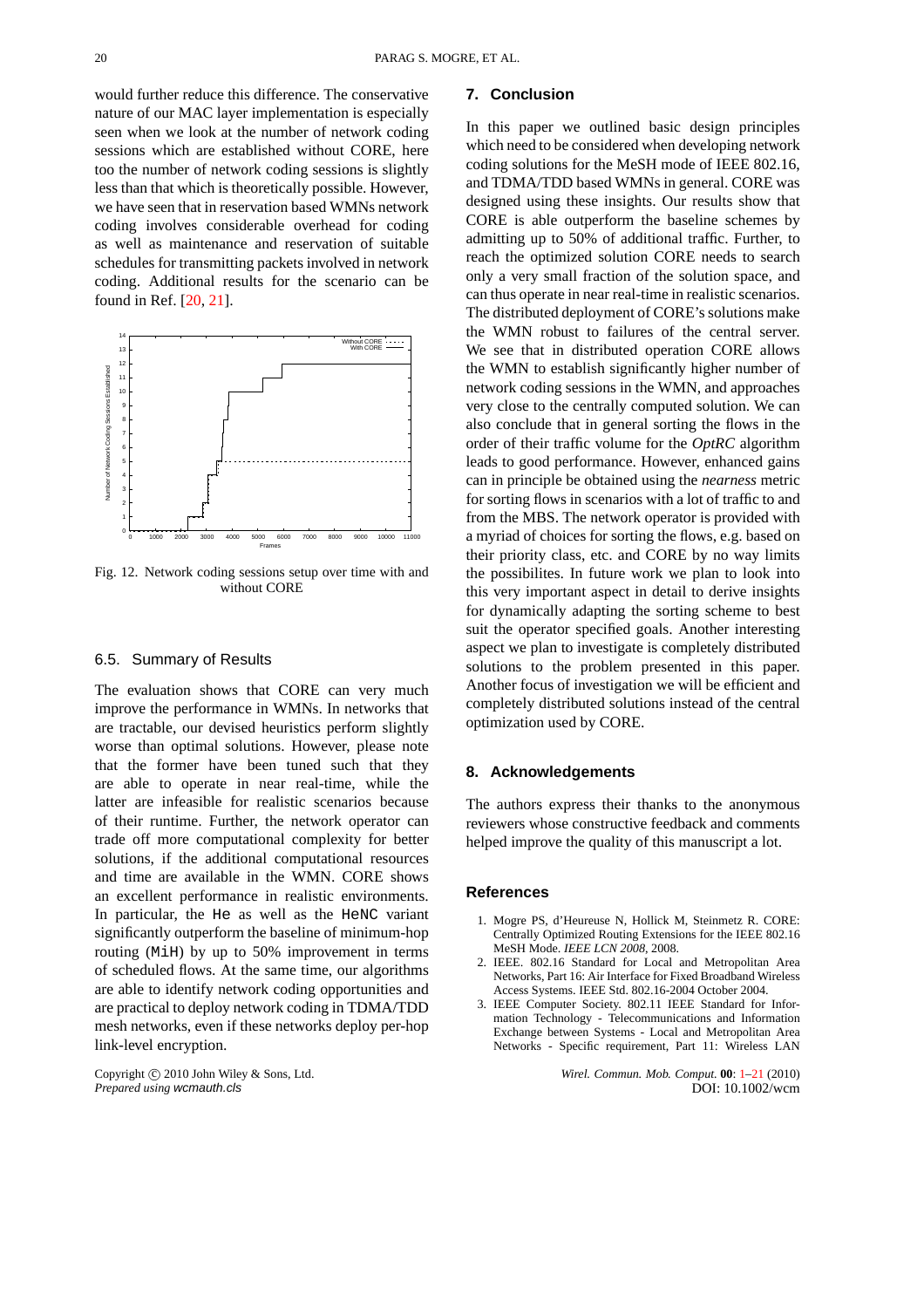would further reduce this difference. The conservative nature of our MAC layer implementation is especially seen when we look at the number of network coding sessions which are established without CORE, here too the number of network coding sessions is slightly less than that which is theoretically possible. However, we have seen that in reservation based WMNs network coding involves considerable overhead for coding as well as maintenance and reservation of suitable schedules for transmitting packets involved in network coding. Additional results for the scenario can be found in Ref. [20, 21].



Fig. 12. Network coding sessions setup over time with and without CORE

# 6.5. Summary of Results

The evaluation shows that CORE can very much improve the performance in WMNs. In networks that are tractable, our devised heuristics perform slightly worse than optimal solutions. However, please note that the former have been tuned such that they are able to operate in near real-time, while the latter are infeasible for realistic scenarios because of their runtime. Further, the network operator can trade off more computational complexity for better solutions, if the additional computational resources and time are available in the WMN. CORE shows an excellent performance in realistic environments. In particular, the He as well as the HeNC variant significantly outperform the baseline of minimum-hop routing (MiH) by up to 50% improvement in terms of scheduled flows. At the same time, our algorithms are able to identify network coding opportunities and are practical to deploy network coding in TDMA/TDD mesh networks, even if these networks deploy per-hop link-level encryption.

Copyright  $\odot$  2010 John Wiley & Sons, Ltd. *Prepared using* wcmauth.cls

## **7. Conclusion**

In this paper we outlined basic design principles which need to be considered when developing network coding solutions for the MeSH mode of IEEE 802.16, and TDMA/TDD based WMNs in general. CORE was designed using these insights. Our results show that CORE is able outperform the baseline schemes by admitting up to 50% of additional traffic. Further, to reach the optimized solution CORE needs to search only a very small fraction of the solution space, and can thus operate in near real-time in realistic scenarios. The distributed deployment of CORE's solutions make the WMN robust to failures of the central server. We see that in distributed operation CORE allows the WMN to establish significantly higher number of network coding sessions in the WMN, and approaches very close to the centrally computed solution. We can also conclude that in general sorting the flows in the order of their traffic volume for the *OptRC* algorithm leads to good performance. However, enhanced gains can in principle be obtained using the *nearness* metric for sorting flows in scenarios with a lot of traffic to and from the MBS. The network operator is provided with a myriad of choices for sorting the flows, e.g. based on their priority class, etc. and CORE by no way limits the possibilites. In future work we plan to look into this very important aspect in detail to derive insights for dynamically adapting the sorting scheme to best suit the operator specified goals. Another interesting aspect we plan to investigate is completely distributed solutions to the problem presented in this paper. Another focus of investigation we will be efficient and completely distributed solutions instead of the central optimization used by CORE.

## **8. Acknowledgements**

The authors express their thanks to the anonymous reviewers whose constructive feedback and comments helped improve the quality of this manuscript a lot.

### **References**

- 1. Mogre PS, d'Heureuse N, Hollick M, Steinmetz R. CORE: Centrally Optimized Routing Extensions for the IEEE 802.16 MeSH Mode. *IEEE LCN 2008*, 2008.
- 2. IEEE. 802.16 Standard for Local and Metropolitan Area Networks, Part 16: Air Interface for Fixed Broadband Wireless Access Systems. IEEE Std. 802.16-2004 October 2004.
- 3. IEEE Computer Society. 802.11 IEEE Standard for Information Technology - Telecommunications and Information Exchange between Systems - Local and Metropolitan Area Networks - Specific requirement, Part 11: Wireless LAN